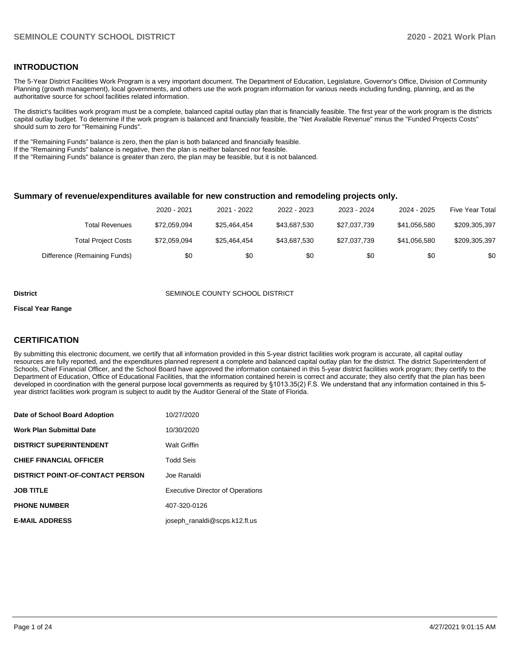### **INTRODUCTION**

The 5-Year District Facilities Work Program is a very important document. The Department of Education, Legislature, Governor's Office, Division of Community Planning (growth management), local governments, and others use the work program information for various needs including funding, planning, and as the authoritative source for school facilities related information.

The district's facilities work program must be a complete, balanced capital outlay plan that is financially feasible. The first year of the work program is the districts capital outlay budget. To determine if the work program is balanced and financially feasible, the "Net Available Revenue" minus the "Funded Projects Costs" should sum to zero for "Remaining Funds".

If the "Remaining Funds" balance is zero, then the plan is both balanced and financially feasible.

If the "Remaining Funds" balance is negative, then the plan is neither balanced nor feasible.

If the "Remaining Funds" balance is greater than zero, the plan may be feasible, but it is not balanced.

#### **Summary of revenue/expenditures available for new construction and remodeling projects only.**

|                              | 2020 - 2021  | 2021 - 2022  | 2022 - 2023  | 2023 - 2024  | 2024 - 2025  | <b>Five Year Total</b> |
|------------------------------|--------------|--------------|--------------|--------------|--------------|------------------------|
| Total Revenues               | \$72,059,094 | \$25.464.454 | \$43.687.530 | \$27,037,739 | \$41.056.580 | \$209,305,397          |
| <b>Total Project Costs</b>   | \$72,059,094 | \$25.464.454 | \$43.687.530 | \$27,037,739 | \$41.056.580 | \$209,305,397          |
| Difference (Remaining Funds) | \$0          | \$0          | \$0          | \$0          | \$0          | \$0                    |

#### **District SEMINOLE COUNTY SCHOOL DISTRICT**

#### **Fiscal Year Range**

### **CERTIFICATION**

By submitting this electronic document, we certify that all information provided in this 5-year district facilities work program is accurate, all capital outlay resources are fully reported, and the expenditures planned represent a complete and balanced capital outlay plan for the district. The district Superintendent of Schools, Chief Financial Officer, and the School Board have approved the information contained in this 5-year district facilities work program; they certify to the Department of Education, Office of Educational Facilities, that the information contained herein is correct and accurate; they also certify that the plan has been developed in coordination with the general purpose local governments as required by §1013.35(2) F.S. We understand that any information contained in this 5 year district facilities work program is subject to audit by the Auditor General of the State of Florida.

| Date of School Board Adoption           | 10/27/2020                              |
|-----------------------------------------|-----------------------------------------|
| <b>Work Plan Submittal Date</b>         | 10/30/2020                              |
| <b>DISTRICT SUPERINTENDENT</b>          | <b>Walt Griffin</b>                     |
| <b>CHIEF FINANCIAL OFFICER</b>          | <b>Todd Seis</b>                        |
| <b>DISTRICT POINT-OF-CONTACT PERSON</b> | Joe Ranaldi                             |
| <b>JOB TITLE</b>                        | <b>Executive Director of Operations</b> |
| <b>PHONE NUMBER</b>                     | 407-320-0126                            |
| <b>E-MAIL ADDRESS</b>                   | joseph ranaldi@scps.k12.fl.us           |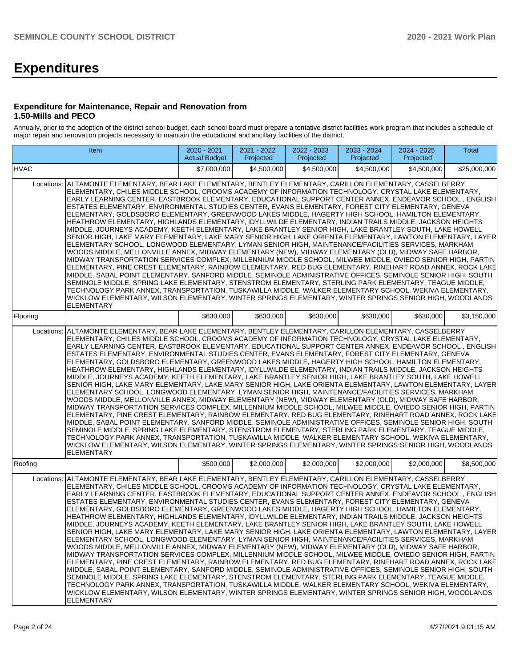# **Expenditures**

### **Expenditure for Maintenance, Repair and Renovation from 1.50-Mills and PECO**

Annually, prior to the adoption of the district school budget, each school board must prepare a tentative district facilities work program that includes a schedule of major repair and renovation projects necessary to maintain the educational and ancillary facilities of the district.

|            | Item                                                                                                                                                                                                                                                                                                                                                                                                                                                                                                                                                                                                                                                                                                                                                                                                                                                                                                                                                                                                                                                                                                                                                                                                                                                                                                                                                                                                                                                                                                                                                                                                                                                                                                                                                                                               | $2020 - 2021$<br><b>Actual Budget</b> | 2021 - 2022<br>Projected | 2022 - 2023<br>Projected | 2023 - 2024<br>Projected | 2024 - 2025<br>Projected | Total        |
|------------|----------------------------------------------------------------------------------------------------------------------------------------------------------------------------------------------------------------------------------------------------------------------------------------------------------------------------------------------------------------------------------------------------------------------------------------------------------------------------------------------------------------------------------------------------------------------------------------------------------------------------------------------------------------------------------------------------------------------------------------------------------------------------------------------------------------------------------------------------------------------------------------------------------------------------------------------------------------------------------------------------------------------------------------------------------------------------------------------------------------------------------------------------------------------------------------------------------------------------------------------------------------------------------------------------------------------------------------------------------------------------------------------------------------------------------------------------------------------------------------------------------------------------------------------------------------------------------------------------------------------------------------------------------------------------------------------------------------------------------------------------------------------------------------------------|---------------------------------------|--------------------------|--------------------------|--------------------------|--------------------------|--------------|
| HVAC       |                                                                                                                                                                                                                                                                                                                                                                                                                                                                                                                                                                                                                                                                                                                                                                                                                                                                                                                                                                                                                                                                                                                                                                                                                                                                                                                                                                                                                                                                                                                                                                                                                                                                                                                                                                                                    | \$7,000,000                           | \$4,500,000              | \$4,500,000              | \$4,500,000              | \$4,500,000              | \$25,000,000 |
| Locations: | ALTAMONTE ELEMENTARY, BEAR LAKE ELEMENTARY, BENTLEY ELEMENTARY, CARILLON ELEMENTARY, CASSELBERRY<br>ELEMENTARY, CHILES MIDDLE SCHOOL, CROOMS ACADEMY OF INFORMATION TECHNOLOGY, CRYSTAL LAKE ELEMENTARY,<br>EARLY LEARNING CENTER, EASTBROOK ELEMENTARY, EDUCATIONAL SUPPORT CENTER ANNEX, ENDEAVOR SCHOOL, ENGLISH<br>ESTATES ELEMENTARY, ENVIRONMENTAL STUDIES CENTER, EVANS ELEMENTARY, FOREST CITY ELEMENTARY, GENEVA<br>ELEMENTARY, GOLDSBORO ELEMENTARY, GREENWOOD LAKES MIDDLE, HAGERTY HIGH SCHOOL, HAMILTON ELEMENTARY,<br>HEATHROW ELEMENTARY, HIGHLANDS ELEMENTARY, IDYLLWILDE ELEMENTARY, INDIAN TRAILS MIDDLE, JACKSON HEIGHTS<br>MIDDLE, JOURNEYS ACADEMY, KEETH ELEMENTARY, LAKE BRANTLEY SENIOR HIGH, LAKE BRANTLEY SOUTH, LAKE HOWELL<br>SENIOR HIGH. LAKE MARY ELEMENTARY. LAKE MARY SENIOR HIGH. LAKE ORIENTA ELEMENTARY. LAWTON ELEMENTARY. LAYER<br>ELEMENTARY SCHOOL, LONGWOOD ELEMENTARY, LYMAN SENIOR HIGH, MAINTENANCE/FACILITIES SERVICES, MARKHAM<br>WOODS MIDDLE, MELLONVILLE ANNEX, MIDWAY ELEMENTARY (NEW), MIDWAY ELEMENTARY (OLD), MIDWAY SAFE HARBOR,<br>MIDWAY TRANSPORTATION SERVICES COMPLEX. MILLENNIUM MIDDLE SCHOOL. MILWEE MIDDLE. OVIEDO SENIOR HIGH. PARTIN<br>ELEMENTARY, PINE CREST ELEMENTARY, RAINBOW ELEMENTARY, RED BUG ELEMENTARY, RINEHART ROAD ANNEX, ROCK LAKE<br>MIDDLE, SABAL POINT ELEMENTARY, SANFORD MIDDLE, SEMINOLE ADMINISTRATIVE OFFICES, SEMINOLE SENIOR HIGH, SOUTH<br>SEMINOLE MIDDLE, SPRING LAKE ELEMENTARY, STENSTROM ELEMENTARY, STERLING PARK ELEMENTARY, TEAGUE MIDDLE,<br>TECHNOLOGY PARK ANNEX, TRANSPORTATION, TUSKAWILLA MIDDLE, WALKER ELEMENTARY SCHOOL, WEKIVA ELEMENTARY,<br>WICKLOW ELEMENTARY, WILSON ELEMENTARY, WINTER SPRINGS ELEMENTARY, WINTER SPRINGS SENIOR HIGH, WOODLANDS<br><b>ELEMENTARY</b>            |                                       |                          |                          |                          |                          |              |
| Flooring   |                                                                                                                                                                                                                                                                                                                                                                                                                                                                                                                                                                                                                                                                                                                                                                                                                                                                                                                                                                                                                                                                                                                                                                                                                                                                                                                                                                                                                                                                                                                                                                                                                                                                                                                                                                                                    | \$630,000                             | \$630,000                | \$630,000                | \$630.000                | \$630,000                | \$3,150,000  |
| Locations: | ALTAMONTE ELEMENTARY, BEAR LAKE ELEMENTARY, BENTLEY ELEMENTARY, CARILLON ELEMENTARY, CASSELBERRY<br>ELEMENTARY, CHILES MIDDLE SCHOOL, CROOMS ACADEMY OF INFORMATION TECHNOLOGY, CRYSTAL LAKE ELEMENTARY,<br>EARLY LEARNING CENTER, EASTBROOK ELEMENTARY, EDUCATIONAL SUPPORT CENTER ANNEX, ENDEAVOR SCHOOL , ENGLISH<br>ESTATES ELEMENTARY, ENVIRONMENTAL STUDIES CENTER, EVANS ELEMENTARY, FOREST CITY ELEMENTARY, GENEVA<br>ELEMENTARY, GOLDSBORO ELEMENTARY, GREENWOOD LAKES MIDDLE, HAGERTY HIGH SCHOOL, HAMILTON ELEMENTARY,<br>HEATHROW ELEMENTARY, HIGHLANDS ELEMENTARY, IDYLLWILDE ELEMENTARY, INDIAN TRAILS MIDDLE, JACKSON HEIGHTS<br>MIDDLE, JOURNEYS ACADEMY, KEETH ELEMENTARY, LAKE BRANTLEY SENIOR HIGH, LAKE BRANTLEY SOUTH, LAKE HOWELL<br>SENIOR HIGH, LAKE MARY ELEMENTARY, LAKE MARY SENIOR HIGH, LAKE ORIENTA ELEMENTARY, LAWTON ELEMENTARY, LAYER<br>ELEMENTARY SCHOOL, LONGWOOD ELEMENTARY, LYMAN SENIOR HIGH, MAINTENANCE/FACILITIES SERVICES, MARKHAM<br>WOODS MIDDLE, MELLONVILLE ANNEX, MIDWAY ELEMENTARY (NEW), MIDWAY ELEMENTARY (OLD), MIDWAY SAFE HARBOR,<br>MIDWAY TRANSPORTATION SERVICES COMPLEX, MILLENNIUM MIDDLE SCHOOL, MILWEE MIDDLE, OVIEDO SENIOR HIGH, PARTIN<br>ELEMENTARY, PINE CREST ELEMENTARY, RAINBOW ELEMENTARY, RED BUG ELEMENTARY, RINEHART ROAD ANNEX, ROCK LAKE<br>MIDDLE, SABAL POINT ELEMENTARY, SANFORD MIDDLE, SEMINOLE ADMINISTRATIVE OFFICES, SEMINOLE SENIOR HIGH, SOUTH<br>SEMINOLE MIDDLE, SPRING LAKE ELEMENTARY, STENSTROM ELEMENTARY, STERLING PARK ELEMENTARY, TEAGUE MIDDLE,<br>TECHNOLOGY PARK ANNEX, TRANSPORTATION, TUSKAWILLA MIDDLE, WALKER ELEMENTARY SCHOOL, WEKIVA ELEMENTARY,<br>WICKLOW ELEMENTARY, WILSON ELEMENTARY, WINTER SPRINGS ELEMENTARY, WINTER SPRINGS SENIOR HIGH, WOODLANDS<br><b>ELEMENTARY</b>           |                                       |                          |                          |                          |                          |              |
| Roofing    |                                                                                                                                                                                                                                                                                                                                                                                                                                                                                                                                                                                                                                                                                                                                                                                                                                                                                                                                                                                                                                                                                                                                                                                                                                                                                                                                                                                                                                                                                                                                                                                                                                                                                                                                                                                                    | \$500,000                             | \$2,000,000              | \$2,000,000              | \$2,000,000              | \$2,000,000              | \$8,500,000  |
|            | Locations: ALTAMONTE ELEMENTARY, BEAR LAKE ELEMENTARY, BENTLEY ELEMENTARY, CARILLON ELEMENTARY, CASSELBERRY<br>ELEMENTARY, CHILES MIDDLE SCHOOL, CROOMS ACADEMY OF INFORMATION TECHNOLOGY, CRYSTAL LAKE ELEMENTARY,<br>EARLY LEARNING CENTER, EASTBROOK ELEMENTARY, EDUCATIONAL SUPPORT CENTER ANNEX, ENDEAVOR SCHOOL, ENGLISH<br>ESTATES ELEMENTARY, ENVIRONMENTAL STUDIES CENTER, EVANS ELEMENTARY, FOREST CITY ELEMENTARY, GENEVA<br>ELEMENTARY, GOLDSBORO ELEMENTARY, GREENWOOD LAKES MIDDLE, HAGERTY HIGH SCHOOL, HAMILTON ELEMENTARY,<br>HEATHROW ELEMENTARY, HIGHLANDS ELEMENTARY, IDYLLWILDE ELEMENTARY, INDIAN TRAILS MIDDLE, JACKSON HEIGHTS<br>MIDDLE, JOURNEYS ACADEMY, KEETH ELEMENTARY, LAKE BRANTLEY SENIOR HIGH, LAKE BRANTLEY SOUTH, LAKE HOWELL<br>SENIOR HIGH, LAKE MARY ELEMENTARY, LAKE MARY SENIOR HIGH, LAKE ORIENTA ELEMENTARY, LAWTON ELEMENTARY, LAYER<br>ELEMENTARY SCHOOL, LONGWOOD ELEMENTARY, LYMAN SENIOR HIGH, MAINTENANCE/FACILITIES SERVICES, MARKHAM<br>WOODS MIDDLE, MELLONVILLE ANNEX, MIDWAY ELEMENTARY (NEW), MIDWAY ELEMENTARY (OLD), MIDWAY SAFE HARBOR,<br>MIDWAY TRANSPORTATION SERVICES COMPLEX, MILLENNIUM MIDDLE SCHOOL, MILWEE MIDDLE, OVIEDO SENIOR HIGH, PARTIN<br>ELEMENTARY, PINE CREST ELEMENTARY, RAINBOW ELEMENTARY, RED BUG ELEMENTARY, RINEHART ROAD ANNEX, ROCK LAKE<br>MIDDLE, SABAL POINT ELEMENTARY, SANFORD MIDDLE, SEMINOLE ADMINISTRATIVE OFFICES, SEMINOLE SENIOR HIGH, SOUTH<br>SEMINOLE MIDDLE, SPRING LAKE ELEMENTARY, STENSTROM ELEMENTARY, STERLING PARK ELEMENTARY, TEAGUE MIDDLE,<br>TECHNOLOGY PARK ANNEX, TRANSPORTATION, TUSKAWILLA MIDDLE, WALKER ELEMENTARY SCHOOL, WEKIVA ELEMENTARY,<br>WICKLOW ELEMENTARY, WILSON ELEMENTARY, WINTER SPRINGS ELEMENTARY, WINTER SPRINGS SENIOR HIGH, WOODLANDS<br><b>ELEMENTARY</b> |                                       |                          |                          |                          |                          |              |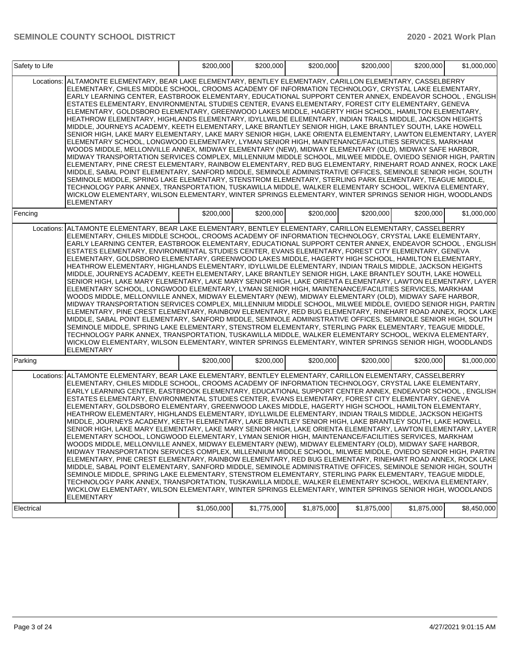| Safety to Life |                                                                                                                                                                                                                                                                                                                                                                                                                                                                                                                                                                                                                                                                                                                                                                                                                                                                                                                                                                                                                                                                                                                                                                                                                                                                                                                                                                                                                                                                                                                                                                                                                                                                                                                                                                                                    | \$200,000   | \$200,000   | \$200,000   | \$200,000   | \$200,000   | \$1,000,000 |
|----------------|----------------------------------------------------------------------------------------------------------------------------------------------------------------------------------------------------------------------------------------------------------------------------------------------------------------------------------------------------------------------------------------------------------------------------------------------------------------------------------------------------------------------------------------------------------------------------------------------------------------------------------------------------------------------------------------------------------------------------------------------------------------------------------------------------------------------------------------------------------------------------------------------------------------------------------------------------------------------------------------------------------------------------------------------------------------------------------------------------------------------------------------------------------------------------------------------------------------------------------------------------------------------------------------------------------------------------------------------------------------------------------------------------------------------------------------------------------------------------------------------------------------------------------------------------------------------------------------------------------------------------------------------------------------------------------------------------------------------------------------------------------------------------------------------------|-------------|-------------|-------------|-------------|-------------|-------------|
| Locations:     | ALTAMONTE ELEMENTARY, BEAR LAKE ELEMENTARY, BENTLEY ELEMENTARY, CARILLON ELEMENTARY, CASSELBERRY<br>ELEMENTARY, CHILES MIDDLE SCHOOL, CROOMS ACADEMY OF INFORMATION TECHNOLOGY, CRYSTAL LAKE ELEMENTARY,<br>EARLY LEARNING CENTER, EASTBROOK ELEMENTARY, EDUCATIONAL SUPPORT CENTER ANNEX, ENDEAVOR SCHOOL, ENGLISH<br>ESTATES ELEMENTARY, ENVIRONMENTAL STUDIES CENTER, EVANS ELEMENTARY, FOREST CITY ELEMENTARY, GENEVA<br>ELEMENTARY, GOLDSBORO ELEMENTARY, GREENWOOD LAKES MIDDLE, HAGERTY HIGH SCHOOL, HAMILTON ELEMENTARY,<br>HEATHROW ELEMENTARY, HIGHLANDS ELEMENTARY, IDYLLWILDE ELEMENTARY, INDIAN TRAILS MIDDLE, JACKSON HEIGHTS<br>MIDDLE, JOURNEYS ACADEMY, KEETH ELEMENTARY, LAKE BRANTLEY SENIOR HIGH, LAKE BRANTLEY SOUTH, LAKE HOWELL<br>SENIOR HIGH, LAKE MARY ELEMENTARY, LAKE MARY SENIOR HIGH, LAKE ORIENTA ELEMENTARY, LAWTON ELEMENTARY, LAYER<br>ELEMENTARY SCHOOL, LONGWOOD ELEMENTARY, LYMAN SENIOR HIGH, MAINTENANCE/FACILITIES SERVICES, MARKHAM<br>WOODS MIDDLE, MELLONVILLE ANNEX, MIDWAY ELEMENTARY (NEW), MIDWAY ELEMENTARY (OLD), MIDWAY SAFE HARBOR,<br>MIDWAY TRANSPORTATION SERVICES COMPLEX, MILLENNIUM MIDDLE SCHOOL, MILWEE MIDDLE, OVIEDO SENIOR HIGH, PARTIN<br>ELEMENTARY, PINE CREST ELEMENTARY, RAINBOW ELEMENTARY, RED BUG ELEMENTARY, RINEHART ROAD ANNEX, ROCK LAKE<br>MIDDLE, SABAL POINT ELEMENTARY, SANFORD MIDDLE, SEMINOLE ADMINISTRATIVE OFFICES, SEMINOLE SENIOR HIGH, SOUTH<br>SEMINOLE MIDDLE, SPRING LAKE ELEMENTARY, STENSTROM ELEMENTARY, STERLING PARK ELEMENTARY, TEAGUE MIDDLE,<br>TECHNOLOGY PARK ANNEX, TRANSPORTATION, TUSKAWILLA MIDDLE, WALKER ELEMENTARY SCHOOL, WEKIVA ELEMENTARY,<br>WICKLOW ELEMENTARY, WILSON ELEMENTARY, WINTER SPRINGS ELEMENTARY, WINTER SPRINGS SENIOR HIGH, WOODLANDS<br><b>ELEMENTARY</b>            |             |             |             |             |             |             |
| Fencing        |                                                                                                                                                                                                                                                                                                                                                                                                                                                                                                                                                                                                                                                                                                                                                                                                                                                                                                                                                                                                                                                                                                                                                                                                                                                                                                                                                                                                                                                                                                                                                                                                                                                                                                                                                                                                    | \$200,000   | \$200,000   | \$200,000   | \$200,000   | \$200,000   | \$1,000,000 |
|                | Locations: ALTAMONTE ELEMENTARY, BEAR LAKE ELEMENTARY, BENTLEY ELEMENTARY, CARILLON ELEMENTARY, CASSELBERRY<br>ELEMENTARY, CHILES MIDDLE SCHOOL, CROOMS ACADEMY OF INFORMATION TECHNOLOGY, CRYSTAL LAKE ELEMENTARY,<br>EARLY LEARNING CENTER, EASTBROOK ELEMENTARY, EDUCATIONAL SUPPORT CENTER ANNEX, ENDEAVOR SCHOOL, ENGLISH<br>ESTATES ELEMENTARY, ENVIRONMENTAL STUDIES CENTER, EVANS ELEMENTARY, FOREST CITY ELEMENTARY, GENEVA<br>ELEMENTARY, GOLDSBORO ELEMENTARY, GREENWOOD LAKES MIDDLE, HAGERTY HIGH SCHOOL, HAMILTON ELEMENTARY,<br>HEATHROW ELEMENTARY, HIGHLANDS ELEMENTARY, IDYLLWILDE ELEMENTARY, INDIAN TRAILS MIDDLE, JACKSON HEIGHTS<br>MIDDLE, JOURNEYS ACADEMY, KEETH ELEMENTARY, LAKE BRANTLEY SENIOR HIGH, LAKE BRANTLEY SOUTH, LAKE HOWELL<br>SENIOR HIGH, LAKE MARY ELEMENTARY, LAKE MARY SENIOR HIGH, LAKE ORIENTA ELEMENTARY, LAWTON ELEMENTARY, LAYER<br>ELEMENTARY SCHOOL, LONGWOOD ELEMENTARY, LYMAN SENIOR HIGH, MAINTENANCE/FACILITIES SERVICES, MARKHAM<br>WOODS MIDDLE, MELLONVILLE ANNEX, MIDWAY ELEMENTARY (NEW), MIDWAY ELEMENTARY (OLD), MIDWAY SAFE HARBOR,<br>MIDWAY TRANSPORTATION SERVICES COMPLEX, MILLENNIUM MIDDLE SCHOOL, MILWEE MIDDLE, OVIEDO SENIOR HIGH, PARTIN<br>ELEMENTARY, PINE CREST ELEMENTARY, RAINBOW ELEMENTARY, RED BUG ELEMENTARY, RINEHART ROAD ANNEX, ROCK LAKE<br>MIDDLE, SABAL POINT ELEMENTARY, SANFORD MIDDLE, SEMINOLE ADMINISTRATIVE OFFICES, SEMINOLE SENIOR HIGH, SOUTH<br>SEMINOLE MIDDLE, SPRING LAKE ELEMENTARY, STENSTROM ELEMENTARY, STERLING PARK ELEMENTARY, TEAGUE MIDDLE,<br>TECHNOLOGY PARK ANNEX, TRANSPORTATION, TUSKAWILLA MIDDLE, WALKER ELEMENTARY SCHOOL, WEKIVA ELEMENTARY,<br>WICKLOW ELEMENTARY, WILSON ELEMENTARY, WINTER SPRINGS ELEMENTARY, WINTER SPRINGS SENIOR HIGH, WOODLANDS<br><b>ELEMENTARY</b> |             |             |             |             |             |             |
| Parking        |                                                                                                                                                                                                                                                                                                                                                                                                                                                                                                                                                                                                                                                                                                                                                                                                                                                                                                                                                                                                                                                                                                                                                                                                                                                                                                                                                                                                                                                                                                                                                                                                                                                                                                                                                                                                    | \$200,000   | \$200,000   | \$200,000   | \$200,000   | \$200,000   | \$1,000,000 |
| Locations:     | ALTAMONTE ELEMENTARY, BEAR LAKE ELEMENTARY, BENTLEY ELEMENTARY, CARILLON ELEMENTARY, CASSELBERRY<br>ELEMENTARY, CHILES MIDDLE SCHOOL, CROOMS ACADEMY OF INFORMATION TECHNOLOGY, CRYSTAL LAKE ELEMENTARY,<br>EARLY LEARNING CENTER, EASTBROOK ELEMENTARY, EDUCATIONAL SUPPORT CENTER ANNEX, ENDEAVOR SCHOOL, ENGLISH<br>ESTATES ELEMENTARY, ENVIRONMENTAL STUDIES CENTER, EVANS ELEMENTARY, FOREST CITY ELEMENTARY, GENEVA<br>ELEMENTARY, GOLDSBORO ELEMENTARY, GREENWOOD LAKES MIDDLE, HAGERTY HIGH SCHOOL, HAMILTON ELEMENTARY,<br>HEATHROW ELEMENTARY, HIGHLANDS ELEMENTARY, IDYLLWILDE ELEMENTARY, INDIAN TRAILS MIDDLE, JACKSON HEIGHTS<br>MIDDLE, JOURNEYS ACADEMY, KEETH ELEMENTARY, LAKE BRANTLEY SENIOR HIGH, LAKE BRANTLEY SOUTH, LAKE HOWELL<br>SENIOR HIGH, LAKE MARY ELEMENTARY, LAKE MARY SENIOR HIGH, LAKE ORIENTA ELEMENTARY, LAWTON ELEMENTARY, LAYER<br>ELEMENTARY SCHOOL, LONGWOOD ELEMENTARY, LYMAN SENIOR HIGH, MAINTENANCE/FACILITIES SERVICES, MARKHAM<br>WOODS MIDDLE, MELLONVILLE ANNEX, MIDWAY ELEMENTARY (NEW), MIDWAY ELEMENTARY (OLD), MIDWAY SAFE HARBOR,<br>MIDWAY TRANSPORTATION SERVICES COMPLEX, MILLENNIUM MIDDLE SCHOOL, MILWEE MIDDLE, OVIEDO SENIOR HIGH, PARTIN<br> ELEMENTARY, PINE CREST ELEMENTARY, RAINBOW ELEMENTARY, RED BUG ELEMENTARY, RINEHART ROAD ANNEX, ROCK LAKE<br>MIDDLE, SABAL POINT ELEMENTARY, SANFORD MIDDLE, SEMINOLE ADMINISTRATIVE OFFICES, SEMINOLE SENIOR HIGH, SOUTH<br>SEMINOLE MIDDLE, SPRING LAKE ELEMENTARY, STENSTROM ELEMENTARY, STERLING PARK ELEMENTARY, TEAGUE MIDDLE,<br>TECHNOLOGY PARK ANNEX, TRANSPORTATION, TUSKAWILLA MIDDLE, WALKER ELEMENTARY SCHOOL, WEKIVA ELEMENTARY,<br>WICKLOW ELEMENTARY, WILSON ELEMENTARY, WINTER SPRINGS ELEMENTARY, WINTER SPRINGS SENIOR HIGH, WOODLANDS<br><b>ELEMENTARY</b>           |             |             |             |             |             |             |
| Electrical     |                                                                                                                                                                                                                                                                                                                                                                                                                                                                                                                                                                                                                                                                                                                                                                                                                                                                                                                                                                                                                                                                                                                                                                                                                                                                                                                                                                                                                                                                                                                                                                                                                                                                                                                                                                                                    | \$1,050,000 | \$1,775,000 | \$1,875,000 | \$1,875,000 | \$1,875,000 | \$8,450,000 |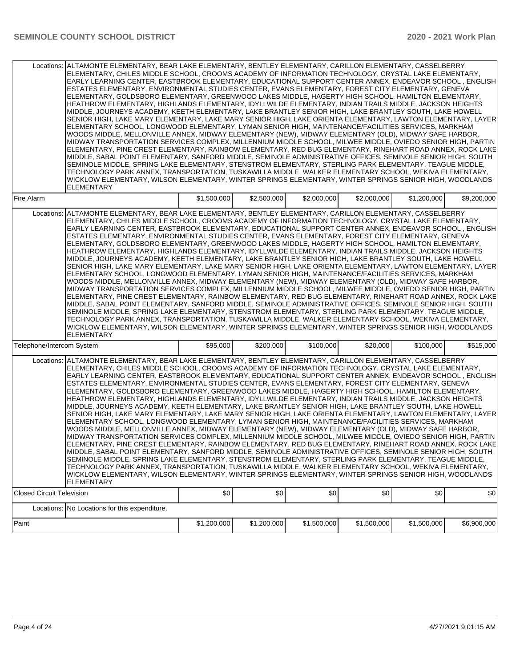|                                  | Locations: ALTAMONTE ELEMENTARY, BEAR LAKE ELEMENTARY, BENTLEY ELEMENTARY, CARILLON ELEMENTARY, CASSELBERRY<br>ELEMENTARY, CHILES MIDDLE SCHOOL, CROOMS ACADEMY OF INFORMATION TECHNOLOGY, CRYSTAL LAKE ELEMENTARY,<br>EARLY LEARNING CENTER, EASTBROOK ELEMENTARY, EDUCATIONAL SUPPORT CENTER ANNEX, ENDEAVOR SCHOOL , ENGLISH<br>ESTATES ELEMENTARY, ENVIRONMENTAL STUDIES CENTER, EVANS ELEMENTARY, FOREST CITY ELEMENTARY, GENEVA<br>ELEMENTARY, GOLDSBORO ELEMENTARY, GREENWOOD LAKES MIDDLE, HAGERTY HIGH SCHOOL, HAMILTON ELEMENTARY,<br>HEATHROW ELEMENTARY, HIGHLANDS ELEMENTARY, IDYLLWILDE ELEMENTARY, INDIAN TRAILS MIDDLE, JACKSON HEIGHTS<br>MIDDLE, JOURNEYS ACADEMY, KEETH ELEMENTARY, LAKE BRANTLEY SENIOR HIGH, LAKE BRANTLEY SOUTH, LAKE HOWELL<br>SENIOR HIGH, LAKE MARY ELEMENTARY, LAKE MARY SENIOR HIGH, LAKE ORIENTA ELEMENTARY, LAWTON ELEMENTARY, LAYER<br>ELEMENTARY SCHOOL, LONGWOOD ELEMENTARY, LYMAN SENIOR HIGH, MAINTENANCE/FACILITIES SERVICES, MARKHAM<br>WOODS MIDDLE, MELLONVILLE ANNEX, MIDWAY ELEMENTARY (NEW), MIDWAY ELEMENTARY (OLD), MIDWAY SAFE HARBOR,<br>MIDWAY TRANSPORTATION SERVICES COMPLEX, MILLENNIUM MIDDLE SCHOOL, MILWEE MIDDLE, OVIEDO SENIOR HIGH, PARTIN<br>ELEMENTARY, PINE CREST ELEMENTARY, RAINBOW ELEMENTARY, RED BUG ELEMENTARY, RINEHART ROAD ANNEX, ROCK LAKE<br>MIDDLE, SABAL POINT ELEMENTARY, SANFORD MIDDLE, SEMINOLE ADMINISTRATIVE OFFICES, SEMINOLE SENIOR HIGH, SOUTH<br>SEMINOLE MIDDLE, SPRING LAKE ELEMENTARY, STENSTROM ELEMENTARY, STERLING PARK ELEMENTARY, TEAGUE MIDDLE,<br>TECHNOLOGY PARK ANNEX, TRANSPORTATION, TUSKAWILLA MIDDLE, WALKER ELEMENTARY SCHOOL, WEKIVA ELEMENTARY,<br>WICKLOW ELEMENTARY, WILSON ELEMENTARY, WINTER SPRINGS ELEMENTARY, WINTER SPRINGS SENIOR HIGH, WOODLANDS<br><b>ELEMENTARY</b> |             |             |             |             |             |             |
|----------------------------------|-----------------------------------------------------------------------------------------------------------------------------------------------------------------------------------------------------------------------------------------------------------------------------------------------------------------------------------------------------------------------------------------------------------------------------------------------------------------------------------------------------------------------------------------------------------------------------------------------------------------------------------------------------------------------------------------------------------------------------------------------------------------------------------------------------------------------------------------------------------------------------------------------------------------------------------------------------------------------------------------------------------------------------------------------------------------------------------------------------------------------------------------------------------------------------------------------------------------------------------------------------------------------------------------------------------------------------------------------------------------------------------------------------------------------------------------------------------------------------------------------------------------------------------------------------------------------------------------------------------------------------------------------------------------------------------------------------------------------------------------------------------------------------------------------------|-------------|-------------|-------------|-------------|-------------|-------------|
| Fire Alarm                       |                                                                                                                                                                                                                                                                                                                                                                                                                                                                                                                                                                                                                                                                                                                                                                                                                                                                                                                                                                                                                                                                                                                                                                                                                                                                                                                                                                                                                                                                                                                                                                                                                                                                                                                                                                                                     | \$1,500,000 | \$2,500,000 | \$2,000,000 | \$2,000,000 | \$1,200,000 | \$9,200,000 |
|                                  | Locations: ALTAMONTE ELEMENTARY, BEAR LAKE ELEMENTARY, BENTLEY ELEMENTARY, CARILLON ELEMENTARY, CASSELBERRY<br>ELEMENTARY. CHILES MIDDLE SCHOOL. CROOMS ACADEMY OF INFORMATION TECHNOLOGY. CRYSTAL LAKE ELEMENTARY.<br>EARLY LEARNING CENTER, EASTBROOK ELEMENTARY, EDUCATIONAL SUPPORT CENTER ANNEX, ENDEAVOR SCHOOL, ENGLISH<br>ESTATES ELEMENTARY, ENVIRONMENTAL STUDIES CENTER, EVANS ELEMENTARY, FOREST CITY ELEMENTARY, GENEVA<br>ELEMENTARY, GOLDSBORO ELEMENTARY, GREENWOOD LAKES MIDDLE, HAGERTY HIGH SCHOOL, HAMILTON ELEMENTARY,<br>HEATHROW ELEMENTARY, HIGHLANDS ELEMENTARY, IDYLLWILDE ELEMENTARY, INDIAN TRAILS MIDDLE, JACKSON HEIGHTS<br>MIDDLE, JOURNEYS ACADEMY, KEETH ELEMENTARY, LAKE BRANTLEY SENIOR HIGH, LAKE BRANTLEY SOUTH, LAKE HOWELL<br>SENIOR HIGH, LAKE MARY ELEMENTARY, LAKE MARY SENIOR HIGH, LAKE ORIENTA ELEMENTARY, LAWTON ELEMENTARY, LAYER<br>ELEMENTARY SCHOOL, LONGWOOD ELEMENTARY, LYMAN SENIOR HIGH, MAINTENANCE/FACILITIES SERVICES, MARKHAM<br>WOODS MIDDLE, MELLONVILLE ANNEX, MIDWAY ELEMENTARY (NEW), MIDWAY ELEMENTARY (OLD), MIDWAY SAFE HARBOR,<br>MIDWAY TRANSPORTATION SERVICES COMPLEX, MILLENNIUM MIDDLE SCHOOL, MILWEE MIDDLE, OVIEDO SENIOR HIGH, PARTIN<br>ELEMENTARY, PINE CREST ELEMENTARY, RAINBOW ELEMENTARY, RED BUG ELEMENTARY, RINEHART ROAD ANNEX, ROCK LAKE<br>MIDDLE, SABAL POINT ELEMENTARY, SANFORD MIDDLE, SEMINOLE ADMINISTRATIVE OFFICES, SEMINOLE SENIOR HIGH, SOUTH<br>SEMINOLE MIDDLE, SPRING LAKE ELEMENTARY, STENSTROM ELEMENTARY, STERLING PARK ELEMENTARY, TEAGUE MIDDLE,<br>TECHNOLOGY PARK ANNEX, TRANSPORTATION, TUSKAWILLA MIDDLE, WALKER ELEMENTARY SCHOOL, WEKIVA ELEMENTARY,<br>WICKLOW ELEMENTARY, WILSON ELEMENTARY, WINTER SPRINGS ELEMENTARY, WINTER SPRINGS SENIOR HIGH, WOODLANDS<br><b>ELEMENTARY</b>  |             |             |             |             |             |             |
| Telephone/Intercom System        |                                                                                                                                                                                                                                                                                                                                                                                                                                                                                                                                                                                                                                                                                                                                                                                                                                                                                                                                                                                                                                                                                                                                                                                                                                                                                                                                                                                                                                                                                                                                                                                                                                                                                                                                                                                                     | \$95,000    | \$200,000   | \$100,000   | \$20,000    | \$100,000   | \$515,000   |
|                                  | Locations: ALTAMONTE ELEMENTARY, BEAR LAKE ELEMENTARY, BENTLEY ELEMENTARY, CARILLON ELEMENTARY, CASSELBERRY<br>ELEMENTARY, CHILES MIDDLE SCHOOL, CROOMS ACADEMY OF INFORMATION TECHNOLOGY, CRYSTAL LAKE ELEMENTARY,<br>EARLY LEARNING CENTER, EASTBROOK ELEMENTARY, EDUCATIONAL SUPPORT CENTER ANNEX, ENDEAVOR SCHOOL, ENGLISH<br>ESTATES ELEMENTARY, ENVIRONMENTAL STUDIES CENTER, EVANS ELEMENTARY, FOREST CITY ELEMENTARY, GENEVA<br>ELEMENTARY, GOLDSBORO ELEMENTARY, GREENWOOD LAKES MIDDLE, HAGERTY HIGH SCHOOL, HAMILTON ELEMENTARY,<br>HEATHROW ELEMENTARY, HIGHLANDS ELEMENTARY, IDYLLWILDE ELEMENTARY, INDIAN TRAILS MIDDLE, JACKSON HEIGHTS<br>MIDDLE, JOURNEYS ACADEMY, KEETH ELEMENTARY, LAKE BRANTLEY SENIOR HIGH, LAKE BRANTLEY SOUTH, LAKE HOWELL<br>SENIOR HIGH, LAKE MARY ELEMENTARY, LAKE MARY SENIOR HIGH, LAKE ORIENTA ELEMENTARY, LAWTON ELEMENTARY, LAYER<br>ELEMENTARY SCHOOL, LONGWOOD ELEMENTARY, LYMAN SENIOR HIGH, MAINTENANCE/FACILITIES SERVICES, MARKHAM<br>WOODS MIDDLE, MELLONVILLE ANNEX, MIDWAY ELEMENTARY (NEW), MIDWAY ELEMENTARY (OLD), MIDWAY SAFE HARBOR,<br>MIDWAY TRANSPORTATION SERVICES COMPLEX, MILLENNIUM MIDDLE SCHOOL, MILWEE MIDDLE, OVIEDO SENIOR HIGH, PARTIN<br> ELEMENTARY, PINE CREST ELEMENTARY, RAINBOW ELEMENTARY, RED BUG ELEMENTARY, RINEHART ROAD ANNEX, ROCK LAKE<br>MIDDLE, SABAL POINT ELEMENTARY, SANFORD MIDDLE, SEMINOLE ADMINISTRATIVE OFFICES, SEMINOLE SENIOR HIGH, SOUTH<br>SEMINOLE MIDDLE, SPRING LAKE ELEMENTARY, STENSTROM ELEMENTARY, STERLING PARK ELEMENTARY, TEAGUE MIDDLE,<br>TECHNOLOGY PARK ANNEX, TRANSPORTATION, TUSKAWILLA MIDDLE, WALKER ELEMENTARY SCHOOL, WEKIVA ELEMENTARY,<br>WICKLOW ELEMENTARY, WILSON ELEMENTARY, WINTER SPRINGS ELEMENTARY, WINTER SPRINGS SENIOR HIGH, WOODLANDS<br>ELEMENTARY        |             |             |             |             |             |             |
| <b>Closed Circuit Television</b> |                                                                                                                                                                                                                                                                                                                                                                                                                                                                                                                                                                                                                                                                                                                                                                                                                                                                                                                                                                                                                                                                                                                                                                                                                                                                                                                                                                                                                                                                                                                                                                                                                                                                                                                                                                                                     | \$0         | \$0         | \$0         | \$0         | \$0         | \$0         |
| Locations:                       | No Locations for this expenditure.                                                                                                                                                                                                                                                                                                                                                                                                                                                                                                                                                                                                                                                                                                                                                                                                                                                                                                                                                                                                                                                                                                                                                                                                                                                                                                                                                                                                                                                                                                                                                                                                                                                                                                                                                                  |             |             |             |             |             |             |
| Paint                            |                                                                                                                                                                                                                                                                                                                                                                                                                                                                                                                                                                                                                                                                                                                                                                                                                                                                                                                                                                                                                                                                                                                                                                                                                                                                                                                                                                                                                                                                                                                                                                                                                                                                                                                                                                                                     | \$1,200,000 | \$1,200,000 | \$1,500,000 | \$1,500,000 | \$1,500,000 | \$6,900,000 |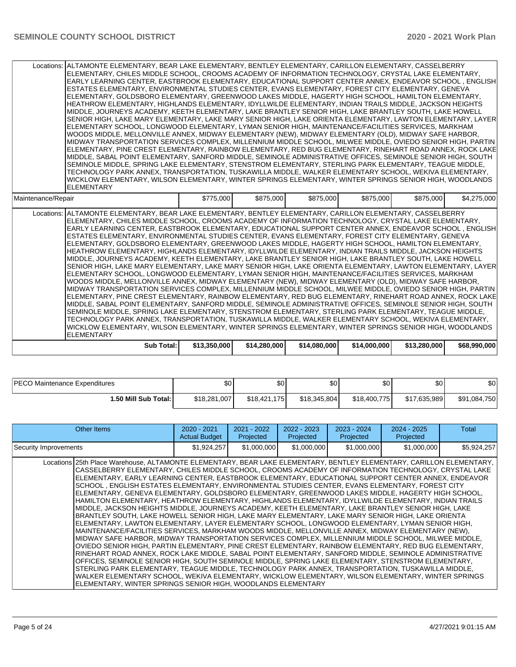|                    | Locations:   ALTAMONTE ELEMENTARY, BEAR LAKE ELEMENTARY, BENTLEY ELEMENTARY, CARILLON ELEMENTARY, CASSELBERRY<br>ELEMENTARY, CHILES MIDDLE SCHOOL, CROOMS ACADEMY OF INFORMATION TECHNOLOGY, CRYSTAL LAKE ELEMENTARY,<br> EARLY LEARNING CENTER, EASTBROOK ELEMENTARY, EDUCATIONAL SUPPORT CENTER ANNEX, ENDEAVOR SCHOOL , ENGLISH <br>ESTATES ELEMENTARY, ENVIRONMENTAL STUDIES CENTER, EVANS ELEMENTARY, FOREST CITY ELEMENTARY, GENEVA<br>ELEMENTARY, GOLDSBORO ELEMENTARY, GREENWOOD LAKES MIDDLE, HAGERTY HIGH SCHOOL, HAMILTON ELEMENTARY,<br>HEATHROW ELEMENTARY. HIGHLANDS ELEMENTARY. IDYLLWILDE ELEMENTARY. INDIAN TRAILS MIDDLE. JACKSON HEIGHTS<br>MIDDLE, JOURNEYS ACADEMY, KEETH ELEMENTARY, LAKE BRANTLEY SENIOR HIGH, LAKE BRANTLEY SOUTH, LAKE HOWELL<br>SENIOR HIGH, LAKE MARY ELEMENTARY, LAKE MARY SENIOR HIGH, LAKE ORIENTA ELEMENTARY, LAWTON ELEMENTARY, LAYER<br>ELEMENTARY SCHOOL, LONGWOOD ELEMENTARY, LYMAN SENIOR HIGH, MAINTENANCE/FACILITIES SERVICES, MARKHAM<br>WOODS MIDDLE, MELLONVILLE ANNEX, MIDWAY ELEMENTARY (NEW), MIDWAY ELEMENTARY (OLD), MIDWAY SAFE HARBOR,<br>MIDWAY TRANSPORTATION SERVICES COMPLEX, MILLENNIUM MIDDLE SCHOOL, MILWEE MIDDLE, OVIEDO SENIOR HIGH, PARTIN<br> ELEMENTARY, PINE CREST ELEMENTARY, RAINBOW ELEMENTARY, RED BUG ELEMENTARY, RINEHART ROAD ANNEX, ROCK LAKE <br>MIDDLE, SABAL POINT ELEMENTARY, SANFORD MIDDLE, SEMINOLE ADMINISTRATIVE OFFICES, SEMINOLE SENIOR HIGH, SOUTH<br>SEMINOLE MIDDLE, SPRING LAKE ELEMENTARY, STENSTROM ELEMENTARY, STERLING PARK ELEMENTARY, TEAGUE MIDDLE,<br>TECHNOLOGY PARK ANNEX, TRANSPORTATION, TUSKAWILLA MIDDLE, WALKER ELEMENTARY SCHOOL, WEKIVA ELEMENTARY,<br>WICKLOW ELEMENTARY, WILSON ELEMENTARY, WINTER SPRINGS ELEMENTARY, WINTER SPRINGS SENIOR HIGH, WOODLANDS<br><b>ELEMENTARY</b> |              |              |              |              |              |              |
|--------------------|-----------------------------------------------------------------------------------------------------------------------------------------------------------------------------------------------------------------------------------------------------------------------------------------------------------------------------------------------------------------------------------------------------------------------------------------------------------------------------------------------------------------------------------------------------------------------------------------------------------------------------------------------------------------------------------------------------------------------------------------------------------------------------------------------------------------------------------------------------------------------------------------------------------------------------------------------------------------------------------------------------------------------------------------------------------------------------------------------------------------------------------------------------------------------------------------------------------------------------------------------------------------------------------------------------------------------------------------------------------------------------------------------------------------------------------------------------------------------------------------------------------------------------------------------------------------------------------------------------------------------------------------------------------------------------------------------------------------------------------------------------------------------------------------------------------|--------------|--------------|--------------|--------------|--------------|--------------|
| Maintenance/Repair |                                                                                                                                                                                                                                                                                                                                                                                                                                                                                                                                                                                                                                                                                                                                                                                                                                                                                                                                                                                                                                                                                                                                                                                                                                                                                                                                                                                                                                                                                                                                                                                                                                                                                                                                                                                                           | \$775,000    | \$875,000    | \$875,000    | \$875,000    | \$875,000    | \$4,275,000  |
|                    | Locations: ALTAMONTE ELEMENTARY, BEAR LAKE ELEMENTARY, BENTLEY ELEMENTARY, CARILLON ELEMENTARY, CASSELBERRY<br>ELEMENTARY, CHILES MIDDLE SCHOOL, CROOMS ACADEMY OF INFORMATION TECHNOLOGY, CRYSTAL LAKE ELEMENTARY,<br>IEARLY LEARNING CENTER. EASTBROOK ELEMENTARY. EDUCATIONAL SUPPORT CENTER ANNEX. ENDEAVOR SCHOOL . ENGLISHI<br>ESTATES ELEMENTARY, ENVIRONMENTAL STUDIES CENTER, EVANS ELEMENTARY, FOREST CITY ELEMENTARY, GENEVA<br>ELEMENTARY, GOLDSBORO ELEMENTARY, GREENWOOD LAKES MIDDLE, HAGERTY HIGH SCHOOL, HAMILTON ELEMENTARY,<br>HEATHROW ELEMENTARY, HIGHLANDS ELEMENTARY, IDYLLWILDE ELEMENTARY, INDIAN TRAILS MIDDLE, JACKSON HEIGHTS<br>MIDDLE, JOURNEYS ACADEMY, KEETH ELEMENTARY, LAKE BRANTLEY SENIOR HIGH, LAKE BRANTLEY SOUTH, LAKE HOWELL<br>SENIOR HIGH, LAKE MARY ELEMENTARY, LAKE MARY SENIOR HIGH, LAKE ORIENTA ELEMENTARY, LAWTON ELEMENTARY, LAYER<br>ELEMENTARY SCHOOL, LONGWOOD ELEMENTARY, LYMAN SENIOR HIGH, MAINTENANCE/FACILITIES SERVICES, MARKHAM<br>WOODS MIDDLE, MELLONVILLE ANNEX, MIDWAY ELEMENTARY (NEW), MIDWAY ELEMENTARY (OLD), MIDWAY SAFE HARBOR,<br>MIDWAY TRANSPORTATION SERVICES COMPLEX, MILLENNIUM MIDDLE SCHOOL, MILWEE MIDDLE, OVIEDO SENIOR HIGH, PARTIN<br> ELEMENTARY, PINE CREST ELEMENTARY, RAINBOW ELEMENTARY, RED BUG ELEMENTARY, RINEHART ROAD ANNEX, ROCK LAKE <br>MIDDLE, SABAL POINT ELEMENTARY, SANFORD MIDDLE, SEMINOLE ADMINISTRATIVE OFFICES, SEMINOLE SENIOR HIGH, SOUTH<br>SEMINOLE MIDDLE, SPRING LAKE ELEMENTARY, STENSTROM ELEMENTARY, STERLING PARK ELEMENTARY, TEAGUE MIDDLE,<br>TECHNOLOGY PARK ANNEX, TRANSPORTATION, TUSKAWILLA MIDDLE, WALKER ELEMENTARY SCHOOL, WEKIVA ELEMENTARY,<br>WICKLOW ELEMENTARY, WILSON ELEMENTARY, WINTER SPRINGS ELEMENTARY, WINTER SPRINGS SENIOR HIGH, WOODLANDS<br><b>ELEMENTARY</b>   |              |              |              |              |              |              |
|                    | <b>Sub Total:</b>                                                                                                                                                                                                                                                                                                                                                                                                                                                                                                                                                                                                                                                                                                                                                                                                                                                                                                                                                                                                                                                                                                                                                                                                                                                                                                                                                                                                                                                                                                                                                                                                                                                                                                                                                                                         | \$13,350,000 | \$14,280,000 | \$14,080,000 | \$14,000,000 | \$13,280,000 | \$68,990,000 |

| <b>PECO Maintenance Expenditures</b> | \$0          | \$0                           | Φn<br>งบ     | <b>\$01</b>        | \$0          | \$0          |
|--------------------------------------|--------------|-------------------------------|--------------|--------------------|--------------|--------------|
| I.50 Mill Sub Total: İ               | \$18,281,007 | \$18.421.<br>175 <sub>l</sub> | \$18,345,804 | \$18,400,7<br>7751 | \$17,635,989 | \$91,084,750 |

| Other Items                                                                                                                                                                                                                                                                                                                                                                                                                                                                                                                                                                                                                                                                                                                                                                                                                                                                                                                                                                                                                                                                                                                                                                                                                                                                                                                                                                                                                                                                                                                                                                                                                                                                                                                                                                              | $2020 - 2021$<br><b>Actual Budget</b> | $2021 - 2022$<br>Projected | $2022 - 2023$<br>Projected | $2023 - 2024$<br>Projected | $2024 - 2025$<br>Projected | Total       |
|------------------------------------------------------------------------------------------------------------------------------------------------------------------------------------------------------------------------------------------------------------------------------------------------------------------------------------------------------------------------------------------------------------------------------------------------------------------------------------------------------------------------------------------------------------------------------------------------------------------------------------------------------------------------------------------------------------------------------------------------------------------------------------------------------------------------------------------------------------------------------------------------------------------------------------------------------------------------------------------------------------------------------------------------------------------------------------------------------------------------------------------------------------------------------------------------------------------------------------------------------------------------------------------------------------------------------------------------------------------------------------------------------------------------------------------------------------------------------------------------------------------------------------------------------------------------------------------------------------------------------------------------------------------------------------------------------------------------------------------------------------------------------------------|---------------------------------------|----------------------------|----------------------------|----------------------------|----------------------------|-------------|
| Security Improvements                                                                                                                                                                                                                                                                                                                                                                                                                                                                                                                                                                                                                                                                                                                                                                                                                                                                                                                                                                                                                                                                                                                                                                                                                                                                                                                                                                                                                                                                                                                                                                                                                                                                                                                                                                    | \$1,924,257                           | \$1,000,000                | \$1,000,000                | \$1,000,000                | \$1,000,000                | \$5,924,257 |
| Locations 25th Place Warehouse, ALTAMONTE ELEMENTARY, BEAR LAKE ELEMENTARY, BENTLEY ELEMENTARY, CARILLON ELEMENTARY,<br>CASSELBERRY ELEMENTARY, CHILES MIDDLE SCHOOL, CROOMS ACADEMY OF INFORMATION TECHNOLOGY, CRYSTAL LAKE<br>ELEMENTARY, EARLY LEARNING CENTER, EASTBROOK ELEMENTARY, EDUCATIONAL SUPPORT CENTER ANNEX, ENDEAVOR<br>SCHOOL , ENGLISH ESTATES ELEMENTARY, ENVIRONMENTAL STUDIES CENTER, EVANS ELEMENTARY, FOREST CITY<br>ELEMENTARY, GENEVA ELEMENTARY, GOLDSBORO ELEMENTARY, GREENWOOD LAKES MIDDLE, HAGERTY HIGH SCHOOL,<br>HAMILTON ELEMENTARY, HEATHROW ELEMENTARY, HIGHLANDS ELEMENTARY, IDYLLWILDE ELEMENTARY, INDIAN TRAILS<br>MIDDLE, JACKSON HEIGHTS MIDDLE, JOURNEYS ACADEMY, KEETH ELEMENTARY, LAKE BRANTLEY SENIOR HIGH, LAKE<br>BRANTLEY SOUTH, LAKE HOWELL SENIOR HIGH, LAKE MARY ELEMENTARY, LAKE MARY SENIOR HIGH, LAKE ORIENTA<br>ELEMENTARY, LAWTON ELEMENTARY, LAYER ELEMENTARY SCHOOL, LONGWOOD ELEMENTARY, LYMAN SENIOR HIGH,<br>MAINTENANCE/FACILITIES SERVICES, MARKHAM WOODS MIDDLE, MELLONVILLE ANNEX, MIDWAY ELEMENTARY (NEW),<br>MIDWAY SAFE HARBOR, MIDWAY TRANSPORTATION SERVICES COMPLEX, MILLENNIUM MIDDLE SCHOOL, MILWEE MIDDLE,<br>OVIEDO SENIOR HIGH, PARTIN ELEMENTARY, PINE CREST ELEMENTARY, RAINBOW ELEMENTARY, RED BUG ELEMENTARY,<br>RINEHART ROAD ANNEX, ROCK LAKE MIDDLE, SABAL POINT ELEMENTARY, SANFORD MIDDLE, SEMINOLE ADMINISTRATIVE<br>OFFICES, SEMINOLE SENIOR HIGH, SOUTH SEMINOLE MIDDLE, SPRING LAKE ELEMENTARY, STENSTROM ELEMENTARY,<br>STERLING PARK ELEMENTARY, TEAGUE MIDDLE, TECHNOLOGY PARK ANNEX, TRANSPORTATION, TUSKAWILLA MIDDLE,<br>WALKER ELEMENTARY SCHOOL, WEKIVA ELEMENTARY, WICKLOW ELEMENTARY, WILSON ELEMENTARY, WINTER SPRINGS<br>ELEMENTARY, WINTER SPRINGS SENIOR HIGH, WOODLANDS ELEMENTARY |                                       |                            |                            |                            |                            |             |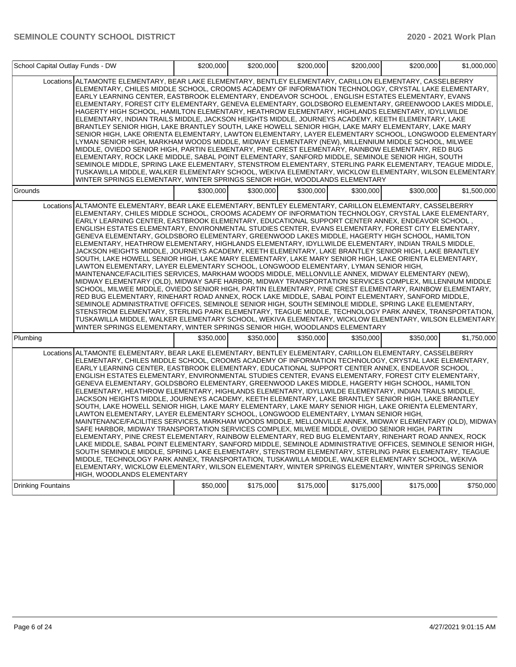| School Capital Outlay Funds - DW |                                                                                                                                                                                                                                                                                                                                                                                                                                                                                                                                                                                                                                                                                                                                                                                                                                                                                                                                                                                                                                                                                                                                                                                                                                                                                                                                                                                                                                                                                                                                                                                                                                                                                                                                                                                            | \$200,000 | \$200,000 | \$200,000 | \$200,000 | \$200,000 | \$1,000,000 |
|----------------------------------|--------------------------------------------------------------------------------------------------------------------------------------------------------------------------------------------------------------------------------------------------------------------------------------------------------------------------------------------------------------------------------------------------------------------------------------------------------------------------------------------------------------------------------------------------------------------------------------------------------------------------------------------------------------------------------------------------------------------------------------------------------------------------------------------------------------------------------------------------------------------------------------------------------------------------------------------------------------------------------------------------------------------------------------------------------------------------------------------------------------------------------------------------------------------------------------------------------------------------------------------------------------------------------------------------------------------------------------------------------------------------------------------------------------------------------------------------------------------------------------------------------------------------------------------------------------------------------------------------------------------------------------------------------------------------------------------------------------------------------------------------------------------------------------------|-----------|-----------|-----------|-----------|-----------|-------------|
|                                  | Locations ALTAMONTE ELEMENTARY, BEAR LAKE ELEMENTARY, BENTLEY ELEMENTARY, CARILLON ELEMENTARY, CASSELBERRY<br>ELEMENTARY, CHILES MIDDLE SCHOOL, CROOMS ACADEMY OF INFORMATION TECHNOLOGY, CRYSTAL LAKE ELEMENTARY,<br>EARLY LEARNING CENTER, EASTBROOK ELEMENTARY, ENDEAVOR SCHOOL, ENGLISH ESTATES ELEMENTARY, EVANS<br>ELEMENTARY, FOREST CITY ELEMENTARY, GENEVA ELEMENTARY, GOLDSBORO ELEMENTARY, GREENWOOD LAKES MIDDLE,<br>HAGERTY HIGH SCHOOL, HAMILTON ELEMENTARY, HEATHROW ELEMENTARY, HIGHLANDS ELEMENTARY, IDYLLWILDE<br>ELEMENTARY, INDIAN TRAILS MIDDLE, JACKSON HEIGHTS MIDDLE, JOURNEYS ACADEMY, KEETH ELEMENTARY, LAKE<br>BRANTLEY SENIOR HIGH, LAKE BRANTLEY SOUTH, LAKE HOWELL SENIOR HIGH, LAKE MARY ELEMENTARY, LAKE MARY<br>SENIOR HIGH, LAKE ORIENTA ELEMENTARY, LAWTON ELEMENTARY, LAYER ELEMENTARY SCHOOL, LONGWOOD ELEMENTARY<br>LYMAN SENIOR HIGH, MARKHAM WOODS MIDDLE, MIDWAY ELEMENTARY (NEW), MILLENNIUM MIDDLE SCHOOL, MILWEE<br>MIDDLE, OVIEDO SENIOR HIGH, PARTIN ELEMENTARY, PINE CREST ELEMENTARY, RAINBOW ELEMENTARY, RED BUG<br>ELEMENTARY, ROCK LAKE MIDDLE, SABAL POINT ELEMENTARY, SANFORD MIDDLE, SEMINOLE SENIOR HIGH, SOUTH<br>SEMINOLE MIDDLE, SPRING LAKE ELEMENTARY, STENSTROM ELEMENTARY, STERLING PARK ELEMENTARY, TEAGUE MIDDLE,<br>TUSKAWILLA MIDDLE, WALKER ELEMENTARY SCHOOL, WEKIVA ELEMENTARY, WICKLOW ELEMENTARY, WILSON ELEMENTARY<br>WINTER SPRINGS ELEMENTARY, WINTER SPRINGS SENIOR HIGH, WOODLANDS ELEMENTARY                                                                                                                                                                                                                                                                                                                  |           |           |           |           |           |             |
| Grounds                          |                                                                                                                                                                                                                                                                                                                                                                                                                                                                                                                                                                                                                                                                                                                                                                                                                                                                                                                                                                                                                                                                                                                                                                                                                                                                                                                                                                                                                                                                                                                                                                                                                                                                                                                                                                                            | \$300,000 | \$300,000 | \$300,000 | \$300,000 | \$300,000 | \$1,500,000 |
|                                  | Locations ALTAMONTE ELEMENTARY, BEAR LAKE ELEMENTARY, BENTLEY ELEMENTARY, CARILLON ELEMENTARY, CASSELBERRY<br>ELEMENTARY, CHILES MIDDLE SCHOOL, CROOMS ACADEMY OF INFORMATION TECHNOLOGY, CRYSTAL LAKE ELEMENTARY,<br>, EARLY LEARNING CENTER, EASTBROOK ELEMENTARY, EDUCATIONAL SUPPORT CENTER ANNEX, ENDEAVOR SCHOOL<br>ENGLISH ESTATES ELEMENTARY. ENVIRONMENTAL STUDIES CENTER. EVANS ELEMENTARY. FOREST CITY ELEMENTARY.<br>GENEVA ELEMENTARY, GOLDSBORO ELEMENTARY, GREENWOOD LAKES MIDDLE, HAGERTY HIGH SCHOOL, HAMILTON<br>ELEMENTARY, HEATHROW ELEMENTARY, HIGHLANDS ELEMENTARY, IDYLLWILDE ELEMENTARY, INDIAN TRAILS MIDDLE,<br>JACKSON HEIGHTS MIDDLE, JOURNEYS ACADEMY, KEETH ELEMENTARY, LAKE BRANTLEY SENIOR HIGH, LAKE BRANTLEY<br>SOUTH, LAKE HOWELL SENIOR HIGH, LAKE MARY ELEMENTARY, LAKE MARY SENIOR HIGH, LAKE ORIENTA ELEMENTARY,<br>LAWTON ELEMENTARY, LAYER ELEMENTARY SCHOOL, LONGWOOD ELEMENTARY, LYMAN SENIOR HIGH,<br>MAINTENANCE/FACILITIES SERVICES, MARKHAM WOODS MIDDLE, MELLONVILLE ANNEX, MIDWAY ELEMENTARY (NEW),<br>MIDWAY ELEMENTARY (OLD), MIDWAY SAFE HARBOR, MIDWAY TRANSPORTATION SERVICES COMPLEX, MILLENNIUM MIDDLE<br>SCHOOL, MILWEE MIDDLE, OVIEDO SENIOR HIGH, PARTIN ELEMENTARY, PINE CREST ELEMENTARY, RAINBOW ELEMENTARY,<br>RED BUG ELEMENTARY, RINEHART ROAD ANNEX, ROCK LAKE MIDDLE, SABAL POINT ELEMENTARY, SANFORD MIDDLE,<br>SEMINOLE ADMINISTRATIVE OFFICES, SEMINOLE SENIOR HIGH, SOUTH SEMINOLE MIDDLE, SPRING LAKE ELEMENTARY,<br>STENSTROM ELEMENTARY, STERLING PARK ELEMENTARY, TEAGUE MIDDLE, TECHNOLOGY PARK ANNEX, TRANSPORTATION,<br>TUSKAWILLA MIDDLE, WALKER ELEMENTARY SCHOOL, WEKIVA ELEMENTARY, WICKLOW ELEMENTARY, WILSON ELEMENTARY<br>WINTER SPRINGS ELEMENTARY, WINTER SPRINGS SENIOR HIGH, WOODLANDS ELEMENTARY |           |           |           |           |           |             |
| Plumbing                         |                                                                                                                                                                                                                                                                                                                                                                                                                                                                                                                                                                                                                                                                                                                                                                                                                                                                                                                                                                                                                                                                                                                                                                                                                                                                                                                                                                                                                                                                                                                                                                                                                                                                                                                                                                                            | \$350,000 | \$350,000 | \$350.000 | \$350.000 | \$350.000 | \$1,750,000 |
|                                  | Locations ALTAMONTE ELEMENTARY, BEAR LAKE ELEMENTARY, BENTLEY ELEMENTARY, CARILLON ELEMENTARY, CASSELBERRY<br>ELEMENTARY, CHILES MIDDLE SCHOOL, CROOMS ACADEMY OF INFORMATION TECHNOLOGY, CRYSTAL LAKE ELEMENTARY,<br>EARLY LEARNING CENTER, EASTBROOK ELEMENTARY, EDUCATIONAL SUPPORT CENTER ANNEX, ENDEAVOR SCHOOL,<br>ENGLISH ESTATES ELEMENTARY, ENVIRONMENTAL STUDIES CENTER, EVANS ELEMENTARY, FOREST CITY ELEMENTARY,<br>GENEVA ELEMENTARY, GOLDSBORO ELEMENTARY, GREENWOOD LAKES MIDDLE, HAGERTY HIGH SCHOOL, HAMILTON<br>ELEMENTARY, HEATHROW ELEMENTARY, HIGHLANDS ELEMENTARY, IDYLLWILDE ELEMENTARY, INDIAN TRAILS MIDDLE,<br>JACKSON HEIGHTS MIDDLE. JOURNEYS ACADEMY. KEETH ELEMENTARY. LAKE BRANTLEY SENIOR HIGH. LAKE BRANTLEY<br>SOUTH, LAKE HOWELL SENIOR HIGH, LAKE MARY ELEMENTARY, LAKE MARY SENIOR HIGH, LAKE ORIENTA ELEMENTARY,<br>LAWTON ELEMENTARY, LAYER ELEMENTARY SCHOOL, LONGWOOD ELEMENTARY, LYMAN SENIOR HIGH,<br>MAINTENANCE/FACILITIES SERVICES, MARKHAM WOODS MIDDLE, MELLONVILLE ANNEX, MIDWAY ELEMENTARY (OLD), MIDWAY<br>SAFE HARBOR, MIDWAY TRANSPORTATION SERVICES COMPLEX, MILWEE MIDDLE, OVIEDO SENIOR HIGH, PARTIN<br>ELEMENTARY, PINE CREST ELEMENTARY, RAINBOW ELEMENTARY, RED BUG ELEMENTARY, RINEHART ROAD ANNEX, ROCK<br>LAKE MIDDLE, SABAL POINT ELEMENTARY, SANFORD MIDDLE, SEMINOLE ADMINISTRATIVE OFFICES, SEMINOLE SENIOR HIGH,<br>SOUTH SEMINOLE MIDDLE, SPRING LAKE ELEMENTARY, STENSTROM ELEMENTARY, STERLING PARK ELEMENTARY, TEAGUE<br>MIDDLE, TECHNOLOGY PARK ANNEX, TRANSPORTATION, TUSKAWILLA MIDDLE, WALKER ELEMENTARY SCHOOL, WEKIVA<br>ELEMENTARY, WICKLOW ELEMENTARY, WILSON ELEMENTARY, WINTER SPRINGS ELEMENTARY, WINTER SPRINGS SENIOR<br>HIGH, WOODLANDS ELEMENTARY                                                    |           |           |           |           |           |             |
| <b>Drinking Fountains</b>        |                                                                                                                                                                                                                                                                                                                                                                                                                                                                                                                                                                                                                                                                                                                                                                                                                                                                                                                                                                                                                                                                                                                                                                                                                                                                                                                                                                                                                                                                                                                                                                                                                                                                                                                                                                                            | \$50,000  | \$175,000 | \$175,000 | \$175,000 | \$175,000 | \$750,000   |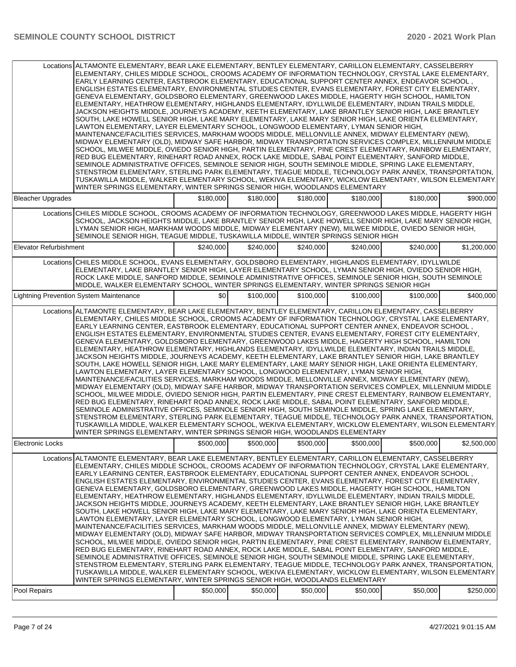|                               | Locations ALTAMONTE ELEMENTARY, BEAR LAKE ELEMENTARY, BENTLEY ELEMENTARY, CARILLON ELEMENTARY, CASSELBERRY<br>ELEMENTARY, CHILES MIDDLE SCHOOL, CROOMS ACADEMY OF INFORMATION TECHNOLOGY, CRYSTAL LAKE ELEMENTARY,<br>EARLY LEARNING CENTER, EASTBROOK ELEMENTARY, EDUCATIONAL SUPPORT CENTER ANNEX, ENDEAVOR SCHOOL,<br>ENGLISH ESTATES ELEMENTARY, ENVIRONMENTAL STUDIES CENTER, EVANS ELEMENTARY, FOREST CITY ELEMENTARY,<br>GENEVA ELEMENTARY, GOLDSBORO ELEMENTARY, GREENWOOD LAKES MIDDLE, HAGERTY HIGH SCHOOL, HAMILTON<br>ELEMENTARY, HEATHROW ELEMENTARY, HIGHLANDS ELEMENTARY, IDYLLWILDE ELEMENTARY, INDIAN TRAILS MIDDLE,<br>JACKSON HEIGHTS MIDDLE, JOURNEYS ACADEMY, KEETH ELEMENTARY, LAKE BRANTLEY SENIOR HIGH, LAKE BRANTLEY<br>SOUTH, LAKE HOWELL SENIOR HIGH, LAKE MARY ELEMENTARY, LAKE MARY SENIOR HIGH, LAKE ORIENTA ELEMENTARY,<br>LAWTON ELEMENTARY, LAYER ELEMENTARY SCHOOL, LONGWOOD ELEMENTARY, LYMAN SENIOR HIGH,<br>MAINTENANCE/FACILITIES SERVICES, MARKHAM WOODS MIDDLE, MELLONVILLE ANNEX, MIDWAY ELEMENTARY (NEW),<br>MIDWAY ELEMENTARY (OLD). MIDWAY SAFE HARBOR, MIDWAY TRANSPORTATION SERVICES COMPLEX, MILLENNIUM MIDDLE<br>SCHOOL, MILWEE MIDDLE, OVIEDO SENIOR HIGH, PARTIN ELEMENTARY, PINE CREST ELEMENTARY, RAINBOW ELEMENTARY,<br>RED BUG ELEMENTARY, RINEHART ROAD ANNEX, ROCK LAKE MIDDLE, SABAL POINT ELEMENTARY, SANFORD MIDDLE,<br>SEMINOLE ADMINISTRATIVE OFFICES, SEMINOLE SENIOR HIGH, SOUTH SEMINOLE MIDDLE, SPRING LAKE ELEMENTARY,<br>STENSTROM ELEMENTARY, STERLING PARK ELEMENTARY, TEAGUE MIDDLE, TECHNOLOGY PARK ANNEX, TRANSPORTATION,<br>TUSKAWILLA MIDDLE, WALKER ELEMENTARY SCHOOL, WEKIVA ELEMENTARY, WICKLOW ELEMENTARY, WILSON ELEMENTARY.<br>WINTER SPRINGS ELEMENTARY, WINTER SPRINGS SENIOR HIGH, WOODLANDS ELEMENTARY  |           |           |           |           |           |             |
|-------------------------------|---------------------------------------------------------------------------------------------------------------------------------------------------------------------------------------------------------------------------------------------------------------------------------------------------------------------------------------------------------------------------------------------------------------------------------------------------------------------------------------------------------------------------------------------------------------------------------------------------------------------------------------------------------------------------------------------------------------------------------------------------------------------------------------------------------------------------------------------------------------------------------------------------------------------------------------------------------------------------------------------------------------------------------------------------------------------------------------------------------------------------------------------------------------------------------------------------------------------------------------------------------------------------------------------------------------------------------------------------------------------------------------------------------------------------------------------------------------------------------------------------------------------------------------------------------------------------------------------------------------------------------------------------------------------------------------------------------------------------------------------------------------------------------------------|-----------|-----------|-----------|-----------|-----------|-------------|
| <b>Bleacher Upgrades</b>      |                                                                                                                                                                                                                                                                                                                                                                                                                                                                                                                                                                                                                                                                                                                                                                                                                                                                                                                                                                                                                                                                                                                                                                                                                                                                                                                                                                                                                                                                                                                                                                                                                                                                                                                                                                                             | \$180,000 | \$180,000 | \$180,000 | \$180,000 | \$180,000 | \$900,000   |
|                               | Locations CHILES MIDDLE SCHOOL, CROOMS ACADEMY OF INFORMATION TECHNOLOGY, GREENWOOD LAKES MIDDLE, HAGERTY HIGH<br>SCHOOL, JACKSON HEIGHTS MIDDLE, LAKE BRANTLEY SENIOR HIGH, LAKE HOWELL SENIOR HIGH, LAKE MARY SENIOR HIGH,<br>LYMAN SENIOR HIGH, MARKHAM WOODS MIDDLE, MIDWAY ELEMENTARY (NEW), MILWEE MIDDLE, OVIEDO SENIOR HIGH,<br>SEMINOLE SENIOR HIGH, TEAGUE MIDDLE, TUSKAWILLA MIDDLE, WINTER SPRINGS SENIOR HIGH                                                                                                                                                                                                                                                                                                                                                                                                                                                                                                                                                                                                                                                                                                                                                                                                                                                                                                                                                                                                                                                                                                                                                                                                                                                                                                                                                                  |           |           |           |           |           |             |
| <b>Elevator Refurbishment</b> |                                                                                                                                                                                                                                                                                                                                                                                                                                                                                                                                                                                                                                                                                                                                                                                                                                                                                                                                                                                                                                                                                                                                                                                                                                                                                                                                                                                                                                                                                                                                                                                                                                                                                                                                                                                             | \$240,000 | \$240,000 | \$240,000 | \$240,000 | \$240,000 | \$1,200,000 |
|                               | Locations CHILES MIDDLE SCHOOL, EVANS ELEMENTARY, GOLDSBORO ELEMENTARY, HIGHLANDS ELEMENTARY, IDYLLWILDE<br>ELEMENTARY, LAKE BRANTLEY SENIOR HIGH, LAYER ELEMENTARY SCHOOL, LYMAN SENIOR HIGH, OVIEDO SENIOR HIGH,<br>ROCK LAKE MIDDLE, SANFORD MIDDLE, SEMINOLE ADMINISTRATIVE OFFICES, SEMINOLE SENIOR HIGH, SOUTH SEMINOLE<br>MIDDLE, WALKER ELEMENTARY SCHOOL, WINTER SPRINGS ELEMENTARY, WINTER SPRINGS SENIOR HIGH                                                                                                                                                                                                                                                                                                                                                                                                                                                                                                                                                                                                                                                                                                                                                                                                                                                                                                                                                                                                                                                                                                                                                                                                                                                                                                                                                                    |           |           |           |           |           |             |
|                               | <b>Lightning Prevention System Maintenance</b>                                                                                                                                                                                                                                                                                                                                                                                                                                                                                                                                                                                                                                                                                                                                                                                                                                                                                                                                                                                                                                                                                                                                                                                                                                                                                                                                                                                                                                                                                                                                                                                                                                                                                                                                              | \$0       | \$100,000 | \$100,000 | \$100,000 | \$100,000 | \$400,000   |
|                               | Locations ALTAMONTE ELEMENTARY, BEAR LAKE ELEMENTARY, BENTLEY ELEMENTARY, CARILLON ELEMENTARY, CASSELBERRY<br>ELEMENTARY, CHILES MIDDLE SCHOOL, CROOMS ACADEMY OF INFORMATION TECHNOLOGY, CRYSTAL LAKE ELEMENTARY,<br>EARLY LEARNING CENTER, EASTBROOK ELEMENTARY, EDUCATIONAL SUPPORT CENTER ANNEX, ENDEAVOR SCHOOL,<br>ENGLISH ESTATES ELEMENTARY, ENVIRONMENTAL STUDIES CENTER, EVANS ELEMENTARY, FOREST CITY ELEMENTARY,<br>GENEVA ELEMENTARY, GOLDSBORO ELEMENTARY, GREENWOOD LAKES MIDDLE, HAGERTY HIGH SCHOOL, HAMILTON<br>ELEMENTARY, HEATHROW ELEMENTARY, HIGHLANDS ELEMENTARY, IDYLLWILDE ELEMENTARY, INDIAN TRAILS MIDDLE,<br>JACKSON HEIGHTS MIDDLE, JOURNEYS ACADEMY, KEETH ELEMENTARY, LAKE BRANTLEY SENIOR HIGH, LAKE BRANTLEY<br>SOUTH, LAKE HOWELL SENIOR HIGH, LAKE MARY ELEMENTARY, LAKE MARY SENIOR HIGH, LAKE ORIENTA ELEMENTARY,<br>LAWTON ELEMENTARY, LAYER ELEMENTARY SCHOOL, LONGWOOD ELEMENTARY, LYMAN SENIOR HIGH,<br>MAINTENANCE/FACILITIES SERVICES, MARKHAM WOODS MIDDLE, MELLONVILLE ANNEX, MIDWAY ELEMENTARY (NEW),<br>MIDWAY ELEMENTARY (OLD), MIDWAY SAFE HARBOR, MIDWAY TRANSPORTATION SERVICES COMPLEX, MILLENNIUM MIDDLE<br>SCHOOL, MILWEE MIDDLE, OVIEDO SENIOR HIGH, PARTIN ELEMENTARY, PINE CREST ELEMENTARY, RAINBOW ELEMENTARY,<br>RED BUG ELEMENTARY, RINEHART ROAD ANNEX, ROCK LAKE MIDDLE, SABAL POINT ELEMENTARY, SANFORD MIDDLE,<br>SEMINOLE ADMINISTRATIVE OFFICES, SEMINOLE SENIOR HIGH, SOUTH SEMINOLE MIDDLE, SPRING LAKE ELEMENTARY,<br>STENSTROM ELEMENTARY, STERLING PARK ELEMENTARY, TEAGUE MIDDLE, TECHNOLOGY PARK ANNEX, TRANSPORTATION,<br>TUSKAWILLA MIDDLE, WALKER ELEMENTARY SCHOOL, WEKIVA ELEMENTARY, WICKLOW ELEMENTARY, WILSON ELEMENTARY.<br>WINTER SPRINGS ELEMENTARY, WINTER SPRINGS SENIOR HIGH, WOODLANDS ELEMENTARY  |           |           |           |           |           |             |
| <b>Electronic Locks</b>       |                                                                                                                                                                                                                                                                                                                                                                                                                                                                                                                                                                                                                                                                                                                                                                                                                                                                                                                                                                                                                                                                                                                                                                                                                                                                                                                                                                                                                                                                                                                                                                                                                                                                                                                                                                                             | \$500,000 | \$500,000 | \$500,000 | \$500,000 | \$500,000 | \$2,500,000 |
|                               | Locations ALTAMONTE ELEMENTARY, BEAR LAKE ELEMENTARY, BENTLEY ELEMENTARY, CARILLON ELEMENTARY, CASSELBERRY<br>ELEMENTARY, CHILES MIDDLE SCHOOL, CROOMS ACADEMY OF INFORMATION TECHNOLOGY, CRYSTAL LAKE ELEMENTARY,<br>, EARLY LEARNING CENTER, EASTBROOK ELEMENTARY, EDUCATIONAL SUPPORT CENTER ANNEX, ENDEAVOR SCHOOL<br>ENGLISH ESTATES ELEMENTARY, ENVIRONMENTAL STUDIES CENTER, EVANS ELEMENTARY, FOREST CITY ELEMENTARY,<br>GENEVA ELEMENTARY, GOLDSBORO ELEMENTARY, GREENWOOD LAKES MIDDLE, HAGERTY HIGH SCHOOL, HAMILTON<br>ELEMENTARY, HEATHROW ELEMENTARY, HIGHLANDS ELEMENTARY, IDYLLWILDE ELEMENTARY, INDIAN TRAILS MIDDLE,<br>JACKSON HEIGHTS MIDDLE, JOURNEYS ACADEMY, KEETH ELEMENTARY, LAKE BRANTLEY SENIOR HIGH, LAKE BRANTLEY<br>SOUTH, LAKE HOWELL SENIOR HIGH, LAKE MARY ELEMENTARY, LAKE MARY SENIOR HIGH, LAKE ORIENTA ELEMENTARY,<br>LAWTON ELEMENTARY, LAYER ELEMENTARY SCHOOL, LONGWOOD ELEMENTARY, LYMAN SENIOR HIGH,<br>MAINTENANCE/FACILITIES SERVICES, MARKHAM WOODS MIDDLE, MELLONVILLE ANNEX, MIDWAY ELEMENTARY (NEW),<br>MIDWAY ELEMENTARY (OLD), MIDWAY SAFE HARBOR, MIDWAY TRANSPORTATION SERVICES COMPLEX, MILLENNIUM MIDDLE<br>SCHOOL, MILWEE MIDDLE, OVIEDO SENIOR HIGH, PARTIN ELEMENTARY, PINE CREST ELEMENTARY, RAINBOW ELEMENTARY,<br>RED BUG ELEMENTARY, RINEHART ROAD ANNEX, ROCK LAKE MIDDLE, SABAL POINT ELEMENTARY, SANFORD MIDDLE,<br>SEMINOLE ADMINISTRATIVE OFFICES, SEMINOLE SENIOR HIGH, SOUTH SEMINOLE MIDDLE, SPRING LAKE ELEMENTARY,<br>STENSTROM ELEMENTARY, STERLING PARK ELEMENTARY, TEAGUE MIDDLE, TECHNOLOGY PARK ANNEX, TRANSPORTATION,<br>TUSKAWILLA MIDDLE, WALKER ELEMENTARY SCHOOL, WEKIVA ELEMENTARY, WICKLOW ELEMENTARY, WILSON ELEMENTARY.<br>WINTER SPRINGS ELEMENTARY, WINTER SPRINGS SENIOR HIGH, WOODLANDS ELEMENTARY |           |           |           |           |           |             |
| Pool Repairs                  |                                                                                                                                                                                                                                                                                                                                                                                                                                                                                                                                                                                                                                                                                                                                                                                                                                                                                                                                                                                                                                                                                                                                                                                                                                                                                                                                                                                                                                                                                                                                                                                                                                                                                                                                                                                             | \$50,000  | \$50,000  | \$50,000  | \$50,000  | \$50,000  | \$250,000   |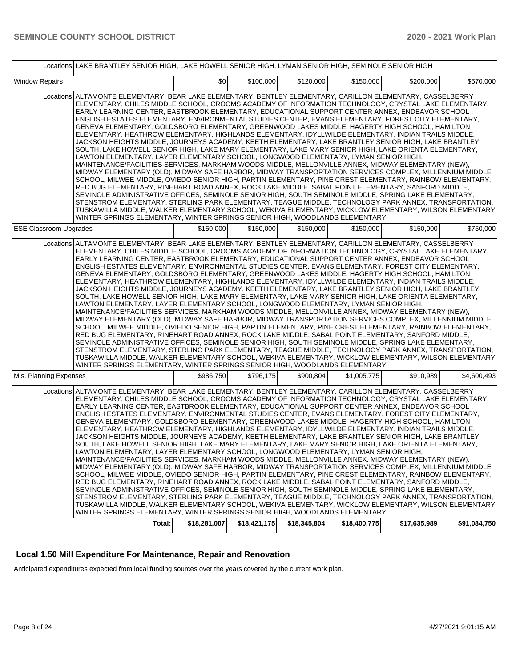|                               | Locations LAKE BRANTLEY SENIOR HIGH, LAKE HOWELL SENIOR HIGH, LYMAN SENIOR HIGH, SEMINOLE SENIOR HIGH                                                                                                                                                                                                                                                                                                                                                                                                                                                                                                                                                                                                                                                                                                                                                                                                                                                                                                                                                                                                                                                                                                                                                                                                                                                                                                                                                                                                                                                                                                                                                                                                                                                                                       |              |              |              |              |              |              |
|-------------------------------|---------------------------------------------------------------------------------------------------------------------------------------------------------------------------------------------------------------------------------------------------------------------------------------------------------------------------------------------------------------------------------------------------------------------------------------------------------------------------------------------------------------------------------------------------------------------------------------------------------------------------------------------------------------------------------------------------------------------------------------------------------------------------------------------------------------------------------------------------------------------------------------------------------------------------------------------------------------------------------------------------------------------------------------------------------------------------------------------------------------------------------------------------------------------------------------------------------------------------------------------------------------------------------------------------------------------------------------------------------------------------------------------------------------------------------------------------------------------------------------------------------------------------------------------------------------------------------------------------------------------------------------------------------------------------------------------------------------------------------------------------------------------------------------------|--------------|--------------|--------------|--------------|--------------|--------------|
| <b>Window Repairs</b>         |                                                                                                                                                                                                                                                                                                                                                                                                                                                                                                                                                                                                                                                                                                                                                                                                                                                                                                                                                                                                                                                                                                                                                                                                                                                                                                                                                                                                                                                                                                                                                                                                                                                                                                                                                                                             | \$0          | \$100,000    | \$120,000    | \$150,000    | \$200,000    | \$570,000    |
|                               | Locations ALTAMONTE ELEMENTARY, BEAR LAKE ELEMENTARY, BENTLEY ELEMENTARY, CARILLON ELEMENTARY, CASSELBERRY<br>ELEMENTARY, CHILES MIDDLE SCHOOL, CROOMS ACADEMY OF INFORMATION TECHNOLOGY, CRYSTAL LAKE ELEMENTARY,<br>, EARLY LEARNING CENTER, EASTBROOK ELEMENTARY, EDUCATIONAL SUPPORT CENTER ANNEX, ENDEAVOR SCHOOL<br>ENGLISH ESTATES ELEMENTARY, ENVIRONMENTAL STUDIES CENTER, EVANS ELEMENTARY, FOREST CITY ELEMENTARY,<br>GENEVA ELEMENTARY, GOLDSBORO ELEMENTARY, GREENWOOD LAKES MIDDLE, HAGERTY HIGH SCHOOL, HAMILTON<br>ELEMENTARY, HEATHROW ELEMENTARY, HIGHLANDS ELEMENTARY, IDYLLWILDE ELEMENTARY, INDIAN TRAILS MIDDLE,<br>JACKSON HEIGHTS MIDDLE, JOURNEYS ACADEMY, KEETH ELEMENTARY, LAKE BRANTLEY SENIOR HIGH, LAKE BRANTLEY<br>SOUTH, LAKE HOWELL SENIOR HIGH, LAKE MARY ELEMENTARY, LAKE MARY SENIOR HIGH, LAKE ORIENTA ELEMENTARY,<br>LAWTON ELEMENTARY, LAYER ELEMENTARY SCHOOL, LONGWOOD ELEMENTARY, LYMAN SENIOR HIGH,<br>MAINTENANCE/FACILITIES SERVICES, MARKHAM WOODS MIDDLE, MELLONVILLE ANNEX, MIDWAY ELEMENTARY (NEW),<br>MIDWAY ELEMENTARY (OLD), MIDWAY SAFE HARBOR, MIDWAY TRANSPORTATION SERVICES COMPLEX, MILLENNIUM MIDDLE<br>SCHOOL, MILWEE MIDDLE, OVIEDO SENIOR HIGH, PARTIN ELEMENTARY, PINE CREST ELEMENTARY, RAINBOW ELEMENTARY,<br>RED BUG ELEMENTARY, RINEHART ROAD ANNEX, ROCK LAKE MIDDLE, SABAL POINT ELEMENTARY, SANFORD MIDDLE,<br>SEMINOLE ADMINISTRATIVE OFFICES, SEMINOLE SENIOR HIGH, SOUTH SEMINOLE MIDDLE, SPRING LAKE ELEMENTARY,<br>STENSTROM ELEMENTARY, STERLING PARK ELEMENTARY, TEAGUE MIDDLE, TECHNOLOGY PARK ANNEX, TRANSPORTATION,<br>TUSKAWILLA MIDDLE, WALKER ELEMENTARY SCHOOL, WEKIVA ELEMENTARY, WICKLOW ELEMENTARY, WILSON ELEMENTARY,<br>WINTER SPRINGS ELEMENTARY, WINTER SPRINGS SENIOR HIGH, WOODLANDS ELEMENTARY |              |              |              |              |              |              |
| <b>ESE Classroom Upgrades</b> |                                                                                                                                                                                                                                                                                                                                                                                                                                                                                                                                                                                                                                                                                                                                                                                                                                                                                                                                                                                                                                                                                                                                                                                                                                                                                                                                                                                                                                                                                                                                                                                                                                                                                                                                                                                             | \$150,000    | \$150,000    | \$150,000    | \$150,000    | \$150,000    | \$750,000    |
|                               | Locations ALTAMONTE ELEMENTARY, BEAR LAKE ELEMENTARY, BENTLEY ELEMENTARY, CARILLON ELEMENTARY, CASSELBERRY<br>ELEMENTARY, CHILES MIDDLE SCHOOL, CROOMS ACADEMY OF INFORMATION TECHNOLOGY, CRYSTAL LAKE ELEMENTARY,<br>EARLY LEARNING CENTER, EASTBROOK ELEMENTARY, EDUCATIONAL SUPPORT CENTER ANNEX, ENDEAVOR SCHOOL,<br>ENGLISH ESTATES ELEMENTARY, ENVIRONMENTAL STUDIES CENTER, EVANS ELEMENTARY, FOREST CITY ELEMENTARY,<br>GENEVA ELEMENTARY, GOLDSBORO ELEMENTARY, GREENWOOD LAKES MIDDLE, HAGERTY HIGH SCHOOL, HAMILTON<br>ELEMENTARY, HEATHROW ELEMENTARY, HIGHLANDS ELEMENTARY, IDYLLWILDE ELEMENTARY, INDIAN TRAILS MIDDLE,<br>JACKSON HEIGHTS MIDDLE, JOURNEYS ACADEMY, KEETH ELEMENTARY, LAKE BRANTLEY SENIOR HIGH, LAKE BRANTLEY<br>SOUTH, LAKE HOWELL SENIOR HIGH, LAKE MARY ELEMENTARY, LAKE MARY SENIOR HIGH, LAKE ORIENTA ELEMENTARY,<br>LAWTON ELEMENTARY, LAYER ELEMENTARY SCHOOL, LONGWOOD ELEMENTARY, LYMAN SENIOR HIGH,<br>MAINTENANCE/FACILITIES SERVICES, MARKHAM WOODS MIDDLE, MELLONVILLE ANNEX, MIDWAY ELEMENTARY (NEW),<br>MIDWAY ELEMENTARY (OLD), MIDWAY SAFE HARBOR, MIDWAY TRANSPORTATION SERVICES COMPLEX, MILLENNIUM MIDDLE<br>SCHOOL, MILWEE MIDDLE, OVIEDO SENIOR HIGH, PARTIN ELEMENTARY, PINE CREST ELEMENTARY, RAINBOW ELEMENTARY,<br>RED BUG ELEMENTARY, RINEHART ROAD ANNEX, ROCK LAKE MIDDLE, SABAL POINT ELEMENTARY, SANFORD MIDDLE,<br>SEMINOLE ADMINISTRATIVE OFFICES, SEMINOLE SENIOR HIGH, SOUTH SEMINOLE MIDDLE, SPRING LAKE ELEMENTARY,<br>STENSTROM ELEMENTARY, STERLING PARK ELEMENTARY, TEAGUE MIDDLE, TECHNOLOGY PARK ANNEX, TRANSPORTATION,<br>TUSKAWILLA MIDDLE, WALKER ELEMENTARY SCHOOL, WEKIVA ELEMENTARY, WICKLOW ELEMENTARY, WILSON ELEMENTARY.<br>WINTER SPRINGS ELEMENTARY, WINTER SPRINGS SENIOR HIGH, WOODLANDS ELEMENTARY  |              |              |              |              |              |              |
| Mis. Planning Expenses        |                                                                                                                                                                                                                                                                                                                                                                                                                                                                                                                                                                                                                                                                                                                                                                                                                                                                                                                                                                                                                                                                                                                                                                                                                                                                                                                                                                                                                                                                                                                                                                                                                                                                                                                                                                                             | \$986,750    | \$796,175    | \$900,804    | \$1,005,775  | \$910,989    | \$4,600,493  |
|                               | Locations ALTAMONTE ELEMENTARY, BEAR LAKE ELEMENTARY, BENTLEY ELEMENTARY, CARILLON ELEMENTARY, CASSELBERRY<br>ELEMENTARY. CHILES MIDDLE SCHOOL. CROOMS ACADEMY OF INFORMATION TECHNOLOGY. CRYSTAL LAKE ELEMENTARY.<br>EARLY LEARNING CENTER, EASTBROOK ELEMENTARY, EDUCATIONAL SUPPORT CENTER ANNEX, ENDEAVOR SCHOOL,<br>ENGLISH ESTATES ELEMENTARY, ENVIRONMENTAL STUDIES CENTER, EVANS ELEMENTARY, FOREST CITY ELEMENTARY,<br>GENEVA ELEMENTARY, GOLDSBORO ELEMENTARY, GREENWOOD LAKES MIDDLE, HAGERTY HIGH SCHOOL, HAMILTON<br>ELEMENTARY, HEATHROW ELEMENTARY, HIGHLANDS ELEMENTARY, IDYLLWILDE ELEMENTARY, INDIAN TRAILS MIDDLE,<br>JACKSON HEIGHTS MIDDLE, JOURNEYS ACADEMY, KEETH ELEMENTARY, LAKE BRANTLEY SENIOR HIGH, LAKE BRANTLEY<br>SOUTH, LAKE HOWELL SENIOR HIGH, LAKE MARY ELEMENTARY, LAKE MARY SENIOR HIGH, LAKE ORIENTA ELEMENTARY,<br>LAWTON ELEMENTARY, LAYER ELEMENTARY SCHOOL, LONGWOOD ELEMENTARY, LYMAN SENIOR HIGH,<br>MAINTENANCE/FACILITIES SERVICES, MARKHAM WOODS MIDDLE, MELLONVILLE ANNEX, MIDWAY ELEMENTARY (NEW),<br>MIDWAY ELEMENTARY (OLD), MIDWAY SAFE HARBOR, MIDWAY TRANSPORTATION SERVICES COMPLEX, MILLENNIUM MIDDLE<br>SCHOOL, MILWEE MIDDLE, OVIEDO SENIOR HIGH, PARTIN ELEMENTARY, PINE CREST ELEMENTARY, RAINBOW ELEMENTARY,<br>RED BUG ELEMENTARY, RINEHART ROAD ANNEX, ROCK LAKE MIDDLE, SABAL POINT ELEMENTARY, SANFORD MIDDLE,<br>SEMINOLE ADMINISTRATIVE OFFICES, SEMINOLE SENIOR HIGH, SOUTH SEMINOLE MIDDLE, SPRING LAKE ELEMENTARY,<br>STENSTROM ELEMENTARY, STERLING PARK ELEMENTARY, TEAGUE MIDDLE, TECHNOLOGY PARK ANNEX, TRANSPORTATION,<br>TUSKAWILLA MIDDLE, WALKER ELEMENTARY SCHOOL, WEKIVA ELEMENTARY, WICKLOW ELEMENTARY, WILSON ELEMENTARY.<br>WINTER SPRINGS ELEMENTARY, WINTER SPRINGS SENIOR HIGH, WOODLANDS ELEMENTARY  |              |              |              |              |              |              |
|                               | Total:                                                                                                                                                                                                                                                                                                                                                                                                                                                                                                                                                                                                                                                                                                                                                                                                                                                                                                                                                                                                                                                                                                                                                                                                                                                                                                                                                                                                                                                                                                                                                                                                                                                                                                                                                                                      | \$18,281,007 | \$18,421,175 | \$18,345,804 | \$18,400,775 | \$17,635,989 | \$91,084,750 |

### **Local 1.50 Mill Expenditure For Maintenance, Repair and Renovation**

Anticipated expenditures expected from local funding sources over the years covered by the current work plan.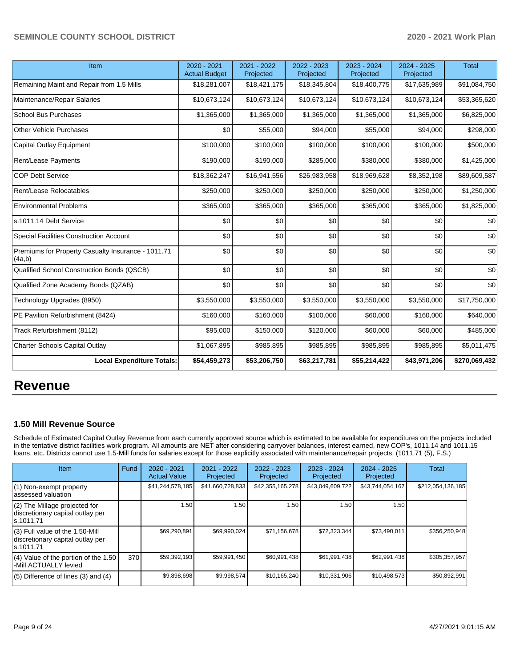| Item                                                         | 2020 - 2021<br><b>Actual Budget</b> | 2021 - 2022<br>Projected | 2022 - 2023<br>Projected | 2023 - 2024<br>Projected | 2024 - 2025<br>Projected | <b>Total</b>  |
|--------------------------------------------------------------|-------------------------------------|--------------------------|--------------------------|--------------------------|--------------------------|---------------|
| Remaining Maint and Repair from 1.5 Mills                    | \$18,281,007                        | \$18,421,175             | \$18,345,804             | \$18,400,775             | \$17,635,989             | \$91,084,750  |
| Maintenance/Repair Salaries                                  | \$10,673,124                        | \$10,673,124             | \$10,673,124             | \$10,673,124             | \$10,673,124             | \$53,365,620  |
| <b>School Bus Purchases</b>                                  | \$1,365,000                         | \$1,365,000              | \$1,365,000              | \$1,365,000              | \$1,365,000              | \$6,825,000   |
| Other Vehicle Purchases                                      | \$0                                 | \$55,000                 | \$94,000                 | \$55,000                 | \$94,000                 | \$298,000     |
| Capital Outlay Equipment                                     | \$100,000                           | \$100,000                | \$100,000                | \$100,000                | \$100,000                | \$500,000     |
| Rent/Lease Payments                                          | \$190,000                           | \$190,000                | \$285,000                | \$380,000                | \$380,000                | \$1,425,000   |
| <b>COP Debt Service</b>                                      | \$18,362,247                        | \$16,941,556             | \$26,983,958             | \$18,969,628             | \$8,352,198              | \$89,609,587  |
| Rent/Lease Relocatables                                      | \$250,000                           | \$250,000                | \$250,000                | \$250,000                | \$250,000                | \$1,250,000   |
| <b>Environmental Problems</b>                                | \$365,000                           | \$365,000                | \$365,000                | \$365,000                | \$365,000                | \$1,825,000   |
| s.1011.14 Debt Service                                       | \$0                                 | \$0                      | \$0                      | \$0                      | \$0                      | \$0           |
| <b>Special Facilities Construction Account</b>               | \$0                                 | \$0                      | \$0                      | \$0                      | \$0                      | \$0           |
| Premiums for Property Casualty Insurance - 1011.71<br>(4a,b) | \$0                                 | \$0                      | \$0                      | \$0                      | \$0                      | \$0           |
| Qualified School Construction Bonds (QSCB)                   | \$0                                 | \$0                      | \$0                      | \$0                      | \$0                      | \$0           |
| Qualified Zone Academy Bonds (QZAB)                          | \$0                                 | \$0                      | \$0                      | \$0                      | \$0                      | \$0           |
| Technology Upgrades (8950)                                   | \$3,550,000                         | \$3,550,000              | \$3,550,000              | \$3,550,000              | \$3,550,000              | \$17,750,000  |
| PE Pavilion Refurbishment (8424)                             | \$160,000                           | \$160,000                | \$100,000                | \$60,000                 | \$160,000                | \$640,000     |
| Track Refurbishment (8112)                                   | \$95,000                            | \$150,000                | \$120,000                | \$60,000                 | \$60,000                 | \$485,000     |
| Charter Schools Capital Outlay                               | \$1,067,895                         | \$985,895                | \$985,895                | \$985,895                | \$985,895                | \$5,011,475   |
| <b>Local Expenditure Totals:</b>                             | \$54,459,273                        | \$53,206,750             | \$63,217,781             | \$55,214,422             | \$43,971,206             | \$270,069,432 |

# **Revenue**

### **1.50 Mill Revenue Source**

Schedule of Estimated Capital Outlay Revenue from each currently approved source which is estimated to be available for expenditures on the projects included in the tentative district facilities work program. All amounts are NET after considering carryover balances, interest earned, new COP's, 1011.14 and 1011.15 loans, etc. Districts cannot use 1.5-Mill funds for salaries except for those explicitly associated with maintenance/repair projects. (1011.71 (5), F.S.)

| Item                                                                                | Fund | $2020 - 2021$<br><b>Actual Value</b> | $2021 - 2022$<br>Projected | $2022 - 2023$<br>Projected | $2023 - 2024$<br>Projected | $2024 - 2025$<br>Projected | Total             |
|-------------------------------------------------------------------------------------|------|--------------------------------------|----------------------------|----------------------------|----------------------------|----------------------------|-------------------|
| (1) Non-exempt property<br>lassessed valuation                                      |      | \$41,244,578,185                     | \$41,660,728,833           | \$42,355,165,278           | \$43,049,609,722           | \$43,744,054,167           | \$212,054,136,185 |
| $(2)$ The Millage projected for<br>discretionary capital outlay per<br>ls.1011.71   |      | 1.50                                 | 1.50                       | 1.50                       | 1.50                       | 1.50                       |                   |
| $(3)$ Full value of the 1.50-Mill<br>discretionary capital outlay per<br>ls.1011.71 |      | \$69,290,891                         | \$69,990,024               | \$71,156,678               | \$72,323,344               | \$73,490,011               | \$356,250,948     |
| $(4)$ Value of the portion of the 1.50<br>-Mill ACTUALLY levied                     | 370  | \$59,392,193                         | \$59,991,450               | \$60,991,438               | \$61,991,438               | \$62,991,438               | \$305,357,957     |
| $(5)$ Difference of lines $(3)$ and $(4)$                                           |      | \$9,898,698                          | \$9,998,574                | \$10,165,240               | \$10,331,906               | \$10,498,573               | \$50,892,991      |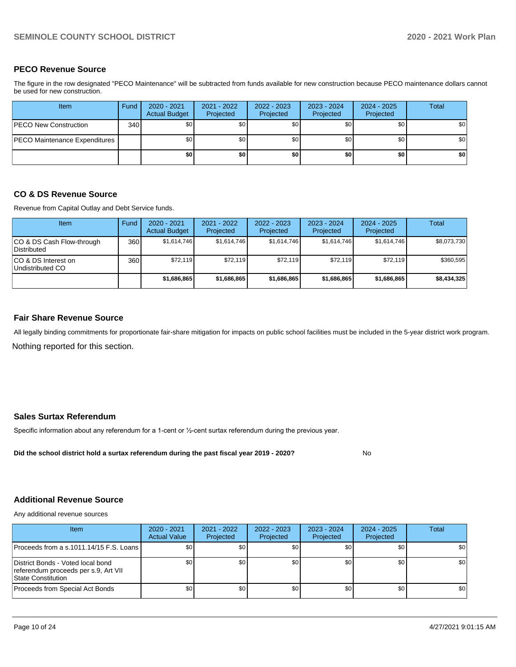### **PECO Revenue Source**

The figure in the row designated "PECO Maintenance" will be subtracted from funds available for new construction because PECO maintenance dollars cannot be used for new construction.

| <b>Item</b>                          | Fund | 2020 - 2021<br><b>Actual Budget</b> | 2021 - 2022<br>Projected | 2022 - 2023<br>Projected | 2023 - 2024<br>Projected | 2024 - 2025<br>Projected | <b>Total</b> |
|--------------------------------------|------|-------------------------------------|--------------------------|--------------------------|--------------------------|--------------------------|--------------|
| <b>PECO New Construction</b>         | 340  | \$0 <sub>1</sub>                    | \$0                      | \$0                      | \$0                      | \$0 <sub>1</sub>         | \$0          |
| <b>PECO Maintenance Expenditures</b> |      | \$0 <sub>1</sub>                    | \$0                      | \$0                      | \$0                      | \$0                      | \$0          |
|                                      |      | \$0                                 | \$0                      | \$0                      | \$0                      | \$0                      | \$0          |

### **CO & DS Revenue Source**

Revenue from Capital Outlay and Debt Service funds.

| <b>Item</b>                                     | Fund | $2020 - 2021$<br><b>Actual Budget</b> | 2021 - 2022<br>Projected | 2022 - 2023<br>Projected | $2023 - 2024$<br>Projected | $2024 - 2025$<br>Projected | Total       |
|-------------------------------------------------|------|---------------------------------------|--------------------------|--------------------------|----------------------------|----------------------------|-------------|
| CO & DS Cash Flow-through<br><b>Distributed</b> | 360  | \$1.614.746                           | \$1,614,746              | \$1,614,746              | \$1,614,746                | \$1,614,746                | \$8,073,730 |
| CO & DS Interest on<br>Undistributed CO         | 360  | \$72,119                              | \$72,119                 | \$72,119                 | \$72.119                   | \$72,119                   | \$360,595   |
|                                                 |      | \$1,686,865                           | \$1,686,865              | \$1,686,865              | \$1,686,865                | \$1,686,865                | \$8,434,325 |

### **Fair Share Revenue Source**

Nothing reported for this section. All legally binding commitments for proportionate fair-share mitigation for impacts on public school facilities must be included in the 5-year district work program.

### **Sales Surtax Referendum**

Specific information about any referendum for a 1-cent or ½-cent surtax referendum during the previous year.

**Did the school district hold a surtax referendum during the past fiscal year 2019 - 2020?**

### **Additional Revenue Source**

Any additional revenue sources

| <b>Item</b>                                                                                            | $2020 - 2021$<br><b>Actual Value</b> | 2021 - 2022<br>Projected | 2022 - 2023<br>Projected | 2023 - 2024<br>Projected | 2024 - 2025<br>Projected | Total |
|--------------------------------------------------------------------------------------------------------|--------------------------------------|--------------------------|--------------------------|--------------------------|--------------------------|-------|
| Proceeds from a s.1011.14/15 F.S. Loans I                                                              | \$0 I                                | \$0 <sub>1</sub>         | \$0                      | \$0                      | \$0                      | \$0   |
| District Bonds - Voted local bond<br>referendum proceeds per s.9, Art VII<br><b>State Constitution</b> | \$0                                  | \$0                      | \$0                      | \$0                      | \$0                      | \$0   |
| Proceeds from Special Act Bonds                                                                        | \$0                                  | \$0                      | \$0                      | \$0                      | \$0                      | \$0   |

No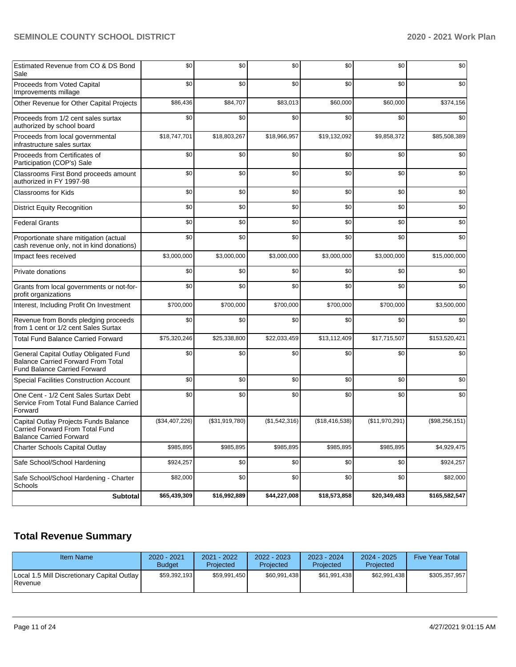| Estimated Revenue from CO & DS Bond<br>Sale                                                                               | \$0            | \$0            | \$0           | \$0                   | \$0            | \$0            |
|---------------------------------------------------------------------------------------------------------------------------|----------------|----------------|---------------|-----------------------|----------------|----------------|
| Proceeds from Voted Capital<br>Improvements millage                                                                       | \$0            | \$0            | \$0           | \$0                   | \$0            | \$0            |
| Other Revenue for Other Capital Projects                                                                                  | \$86,436       | \$84,707       | \$83,013      | \$60,000              | \$60,000       | \$374,156      |
| Proceeds from 1/2 cent sales surtax<br>authorized by school board                                                         | \$0            | \$0            | \$0           | \$0                   | \$0            | \$0            |
| Proceeds from local governmental<br>infrastructure sales surtax                                                           | \$18,747,701   | \$18,803,267   | \$18,966,957  | \$19,132,092          | \$9,858,372    | \$85,508,389   |
| Proceeds from Certificates of<br>Participation (COP's) Sale                                                               | \$0            | \$0            | \$0           | \$0                   | \$0            | \$0            |
| Classrooms First Bond proceeds amount<br>authorized in FY 1997-98                                                         | \$0            | \$0            | \$0           | \$0                   | \$0            | \$0            |
| <b>Classrooms for Kids</b>                                                                                                | \$0            | \$0            | \$0           | \$0                   | \$0            | \$0            |
| <b>District Equity Recognition</b>                                                                                        | \$0            | \$0            | \$0           | \$0                   | \$0            | \$0            |
| <b>Federal Grants</b>                                                                                                     | \$0            | \$0            | \$0           | \$0                   | \$0            | \$0            |
| Proportionate share mitigation (actual<br>cash revenue only, not in kind donations)                                       | \$0            | \$0            | \$0           | \$0                   | \$0            | \$0            |
| Impact fees received                                                                                                      | \$3,000,000    | \$3,000,000    | \$3,000,000   | \$3,000,000           | \$3,000,000    | \$15,000,000   |
| Private donations                                                                                                         | \$0            | \$0            | \$0           | \$0                   | \$0            | \$0            |
| Grants from local governments or not-for-<br>profit organizations                                                         | \$0            | \$0            | \$0           | \$0                   | \$0            | \$0            |
| Interest, Including Profit On Investment                                                                                  | \$700,000      | \$700,000      | \$700,000     | \$700,000             | \$700,000      | \$3,500,000    |
| Revenue from Bonds pledging proceeds<br>from 1 cent or 1/2 cent Sales Surtax                                              | \$0            | \$0            | \$0           | \$0                   | \$0            | \$0            |
| <b>Total Fund Balance Carried Forward</b>                                                                                 | \$75,320,246   | \$25,338,800   | \$22,033,459  | \$13,112,409          | \$17,715,507   | \$153,520,421  |
| General Capital Outlay Obligated Fund<br><b>Balance Carried Forward From Total</b><br><b>Fund Balance Carried Forward</b> | \$0            | \$0            | \$0           | \$0                   | \$0            | \$0            |
| Special Facilities Construction Account                                                                                   | \$0            | \$0            | \$0           | \$0                   | \$0            | \$0            |
| One Cent - 1/2 Cent Sales Surtax Debt<br>Service From Total Fund Balance Carried<br>Forward                               | \$0            | \$0            | \$0           | \$0                   | \$0            | \$0            |
| Capital Outlay Projects Funds Balance<br>Carried Forward From Total Fund<br><b>Balance Carried Forward</b>                | (\$34,407,226) | (\$31,919,780) | (\$1,542,316) | (\$18,416,538)        | (\$11,970,291) | (\$98,256,151) |
| Charter Schools Capital Outlay                                                                                            | \$985,895      | \$985,895      | \$985,895     | $\overline{$}985,895$ | \$985,895      | \$4,929,475    |
| Safe School/School Hardening                                                                                              | \$924,257      | \$0            | \$0           | \$0                   | \$0            | \$924,257      |
| Safe School/School Hardening - Charter<br>Schools                                                                         | \$82,000       | \$0            | \$0           | \$0                   | \$0            | \$82,000       |
| <b>Subtotal</b>                                                                                                           | \$65,439,309   | \$16,992,889   | \$44,227,008  | \$18,573,858          | \$20,349,483   | \$165,582,547  |

# **Total Revenue Summary**

| <b>Item Name</b>                                         | $2020 - 2021$<br><b>Budget</b> | 2021 - 2022<br>Projected | 2022 - 2023<br>Projected | 2023 - 2024<br>Projected | $2024 - 2025$<br>Projected | <b>Five Year Total</b> |
|----------------------------------------------------------|--------------------------------|--------------------------|--------------------------|--------------------------|----------------------------|------------------------|
| Local 1.5 Mill Discretionary Capital Outlay  <br>Revenue | \$59.392.193                   | \$59,991,450             | \$60,991,438             | \$61,991,438             | \$62,991,438               | \$305,357,957          |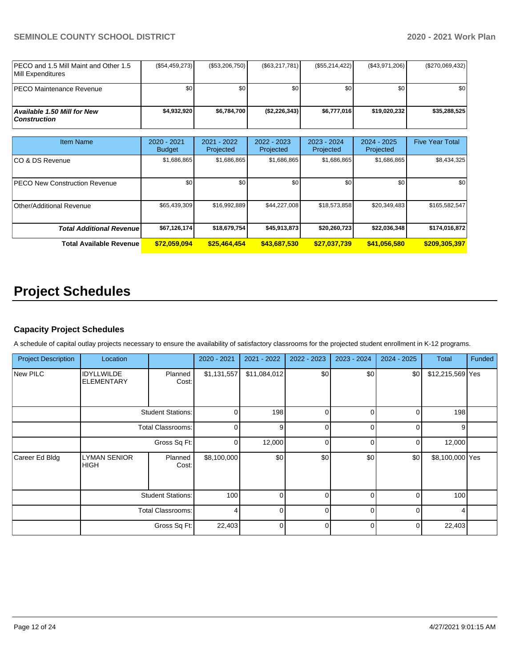| IPECO and 1.5 Mill Maint and Other 1.5<br><b>IMill Expenditures</b> | (S54, 459, 273) | $(\$53,206,750)$ | (S63, 217, 781) | $(\$55,214,422)$ | (\$43,971,206) | $(\$270,069,432)$ |
|---------------------------------------------------------------------|-----------------|------------------|-----------------|------------------|----------------|-------------------|
| <b>IPECO Maintenance Revenue</b>                                    | \$0             | ا 30             | \$0             | \$0 <sub>1</sub> | \$0            | \$0               |
| Available 1.50 Mill for New<br>  Construction                       | \$4.932.920     | \$6,784,700      | (S2, 226, 343)  | \$6.777.016      | \$19.020.232   | \$35.288.525      |

| Item Name                            | $2020 - 2021$<br><b>Budget</b> | $2021 - 2022$<br>Projected | 2022 - 2023<br>Projected | $2023 - 2024$<br>Projected | $2024 - 2025$<br>Projected | <b>Five Year Total</b> |
|--------------------------------------|--------------------------------|----------------------------|--------------------------|----------------------------|----------------------------|------------------------|
| ICO & DS Revenue                     | \$1,686,865                    | \$1,686,865                | \$1,686,865              | \$1,686,865                | \$1,686,865                | \$8,434,325            |
| <b>PECO New Construction Revenue</b> | \$0                            | \$0                        | \$0                      | \$0                        | \$0                        | \$0                    |
| Other/Additional Revenue             | \$65,439,309                   | \$16,992,889               | \$44,227,008             | \$18,573,858               | \$20,349,483               | \$165,582,547          |
| <b>Total Additional Revenue</b>      | \$67,126,174                   | \$18,679,754               | \$45,913,873             | \$20,260,723               | \$22,036,348               | \$174,016,872          |
| <b>Total Available Revenue</b>       | \$72,059,094                   | \$25.464.454               | \$43,687,530             | \$27,037,739               | \$41,056,580               | \$209,305,397          |

# **Project Schedules**

### **Capacity Project Schedules**

A schedule of capital outlay projects necessary to ensure the availability of satisfactory classrooms for the projected student enrollment in K-12 programs.

| <b>Project Description</b> | Location                               |                          | 2020 - 2021    | 2021 - 2022  | 2022 - 2023 | 2023 - 2024 | $2024 - 2025$ | <b>Total</b>     | Funded |
|----------------------------|----------------------------------------|--------------------------|----------------|--------------|-------------|-------------|---------------|------------------|--------|
| New PILC                   | <b>IDYLLWILDE</b><br><b>ELEMENTARY</b> | Planned<br>Cost:         | \$1,131,557    | \$11,084,012 | \$0         | \$0         | \$0           | \$12,215,569 Yes |        |
|                            |                                        | <b>Student Stations:</b> | $\Omega$       | 198          | $\Omega$    | $\Omega$    | $\Omega$      | 198              |        |
|                            |                                        | <b>Total Classrooms:</b> | $\Omega$       | 9            | $\Omega$    | $\Omega$    | $\Omega$      | 9                |        |
|                            | Gross Sq Ft:                           |                          | $\Omega$       | 12,000       | $\Omega$    | $\Omega$    | $\Omega$      | 12,000           |        |
| Career Ed Bldg             | <b>LYMAN SENIOR</b><br><b>HIGH</b>     | Planned<br>Cost:         | \$8,100,000    | \$0          | \$0         | \$0         | \$0           | \$8,100,000 Yes  |        |
|                            |                                        | <b>Student Stations:</b> | 100            | 0            | $\Omega$    | $\Omega$    | $\Omega$      | 100              |        |
|                            |                                        | <b>Total Classrooms:</b> | $\overline{4}$ | $\Omega$     | $\Omega$    | $\Omega$    | $\Omega$      | 4                |        |
|                            |                                        | Gross Sq Ft:             | 22,403         | $\Omega$     | $\Omega$    | $\Omega$    | $\Omega$      | 22,403           |        |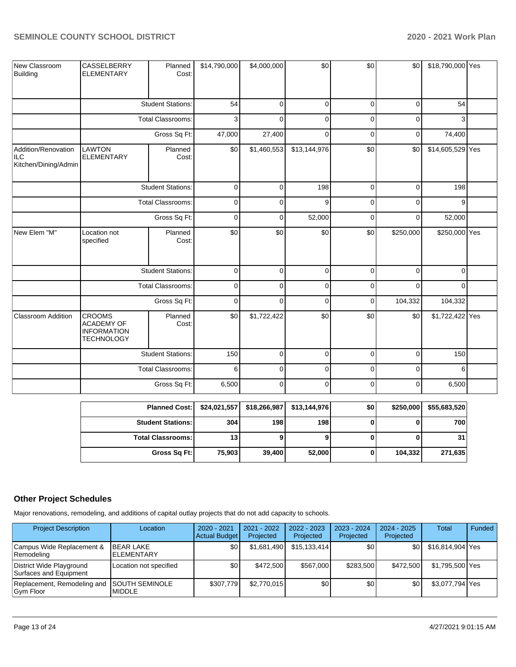| New Classroom<br>Building                                 | CASSELBERRY<br><b>ELEMENTARY</b>                                              | Planned<br>Cost:         | \$14,790,000 | \$4,000,000 | \$0          | \$0         | \$0         | \$18,790,000 Yes |  |
|-----------------------------------------------------------|-------------------------------------------------------------------------------|--------------------------|--------------|-------------|--------------|-------------|-------------|------------------|--|
|                                                           |                                                                               | <b>Student Stations:</b> | 54           | $\Omega$    | $\mathbf 0$  | $\Omega$    | $\mathbf 0$ | 54               |  |
|                                                           |                                                                               | <b>Total Classrooms:</b> | 3            | $\Omega$    | $\mathbf 0$  | $\mathbf 0$ | $\mathbf 0$ | 3                |  |
|                                                           |                                                                               | Gross Sq Ft:             | 47,000       | 27,400      | $\mathbf 0$  | $\mathbf 0$ | $\pmb{0}$   | 74,400           |  |
| Addition/Renovation<br><b>ILC</b><br>Kitchen/Dining/Admin | <b>LAWTON</b><br><b>ELEMENTARY</b>                                            | Planned<br>Cost:         | \$0          | \$1,460,553 | \$13,144,976 | \$0         | \$0         | \$14,605,529 Yes |  |
|                                                           |                                                                               | <b>Student Stations:</b> | $\mathbf 0$  | $\mathbf 0$ | 198          | $\mathbf 0$ | $\mathbf 0$ | 198              |  |
|                                                           | <b>Total Classrooms:</b>                                                      |                          | 0            | 0           | 9            | $\mathbf 0$ | $\mathbf 0$ | 9                |  |
|                                                           | Gross Sq Ft:                                                                  |                          | $\mathbf 0$  | $\mathbf 0$ | 52,000       | $\mathbf 0$ | $\mathbf 0$ | 52,000           |  |
| New Elem "M"                                              | Location not<br>specified                                                     | Planned<br>Cost:         | \$0          | \$0         | \$0          | \$0         | \$250,000   | \$250,000 Yes    |  |
|                                                           |                                                                               | <b>Student Stations:</b> | $\mathbf 0$  | $\mathbf 0$ | $\mathbf 0$  | $\mathbf 0$ | $\mathbf 0$ | $\mathbf 0$      |  |
|                                                           |                                                                               | <b>Total Classrooms:</b> | $\pmb{0}$    | $\mathbf 0$ | $\mathbf 0$  | $\mathbf 0$ | $\Omega$    | $\Omega$         |  |
|                                                           |                                                                               | Gross Sq Ft:             | $\mathbf 0$  | $\Omega$    | $\mathbf 0$  | $\mathbf 0$ | 104,332     | 104,332          |  |
| Classroom Addition                                        | <b>CROOMS</b><br><b>ACADEMY OF</b><br><b>INFORMATION</b><br><b>TECHNOLOGY</b> | Planned<br>Cost:         | \$0          | \$1,722,422 | \$0          | \$0         | \$0         | \$1,722,422 Yes  |  |
|                                                           |                                                                               | <b>Student Stations:</b> | 150          | 0           | $\pmb{0}$    | $\mathbf 0$ | $\pmb{0}$   | 150              |  |
|                                                           |                                                                               | Total Classrooms:        | 6            | $\mathbf 0$ | $\mathsf 0$  | $\mathbf 0$ | $\mathbf 0$ | 6                |  |
|                                                           |                                                                               | Gross Sq Ft:             | 6,500        | $\mathbf 0$ | $\mathbf 0$  | $\mathbf 0$ | $\mathbf 0$ | 6,500            |  |

| Planned Cost:   \$24,021,557 |        | \$18,266,987 | \$13,144,976 | \$0 | \$250,000 | \$55,683,520    |
|------------------------------|--------|--------------|--------------|-----|-----------|-----------------|
| <b>Student Stations:</b>     | 304    | 198 l        | 198          |     |           | 700             |
| <b>Total Classrooms:</b>     | 13     |              |              |     |           | 31 <sup>1</sup> |
| Gross Sq Ft:                 | 75,903 | 39,400       | 52,000       |     | 104,332   | 271,635         |

### **Other Project Schedules**

Major renovations, remodeling, and additions of capital outlay projects that do not add capacity to schools.

| <b>Project Description</b>                         | Location                                | 2020 - 2021<br><b>Actual Budget</b> | 2021 - 2022<br>Projected | $2022 - 2023$<br>Projected | 2023 - 2024<br>Projected | $2024 - 2025$<br>Projected | <b>Total</b>     | Funded |
|----------------------------------------------------|-----------------------------------------|-------------------------------------|--------------------------|----------------------------|--------------------------|----------------------------|------------------|--------|
| Campus Wide Replacement &<br>Remodeling            | <b>BEAR LAKE</b><br><b>ELEMENTARY</b>   | \$0                                 | \$1,681,490              | \$15.133.414               | \$0 <sub>1</sub>         | \$0 I                      | \$16,814,904 Yes |        |
| District Wide Playground<br>Surfaces and Equipment | Location not specified                  | \$0                                 | \$472,500                | \$567,000                  | \$283.500                | \$472.500                  | \$1.795.500 Yes  |        |
| Replacement, Remodeling and<br>Gym Floor           | <b>ISOUTH SEMINOLE</b><br><b>MIDDLE</b> | \$307.779                           | \$2,770,015              | \$0                        | \$0                      | \$٥١                       | \$3,077,794 Yes  |        |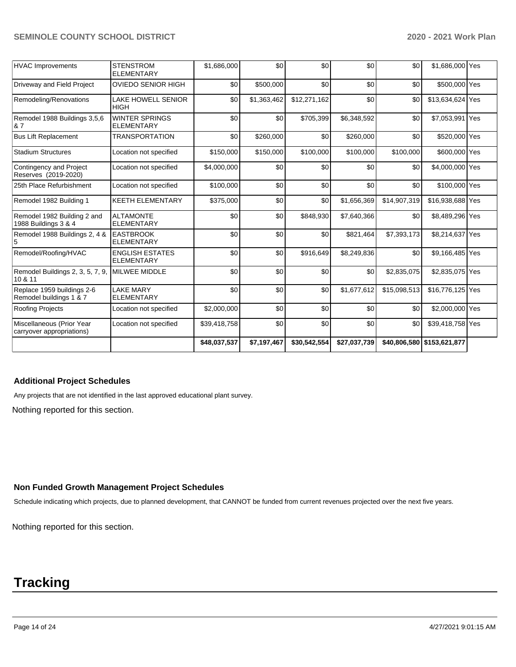|                                                        |                                             | \$48,037,537 | \$7,197,467 | \$30,542,554 | \$27,037,739 | \$40,806,580 | \$153,621,877    |  |
|--------------------------------------------------------|---------------------------------------------|--------------|-------------|--------------|--------------|--------------|------------------|--|
| Miscellaneous (Prior Year<br>carryover appropriations) | Location not specified                      | \$39,418,758 | \$0         | \$0          | \$0          | \$0          | \$39,418,758 Yes |  |
| <b>Roofing Projects</b>                                | Location not specified                      | \$2,000,000  | \$0         | \$0          | \$0          | \$0          | \$2,000,000 Yes  |  |
| Replace 1959 buildings 2-6<br>Remodel buildings 1 & 7  | <b>LAKE MARY</b><br><b>ELEMENTARY</b>       | \$0          | \$0         | \$0          | \$1,677,612  | \$15,098,513 | \$16,776,125 Yes |  |
| Remodel Buildings 2, 3, 5, 7, 9,<br>10 & 11            | <b>MILWEE MIDDLE</b>                        | \$0          | \$0         | \$0          | \$0          | \$2,835,075  | \$2,835,075 Yes  |  |
| Remodel/Roofing/HVAC                                   | <b>ENGLISH ESTATES</b><br><b>ELEMENTARY</b> | \$0          | \$0         | \$916,649    | \$8,249,836  | \$0          | \$9,166,485 Yes  |  |
| Remodel 1988 Buildings 2, 4 &<br>5                     | <b>EASTBROOK</b><br><b>ELEMENTARY</b>       | \$0          | \$0         | \$0          | \$821,464    | \$7,393,173  | \$8,214,637 Yes  |  |
| Remodel 1982 Building 2 and<br>1988 Buildings 3 & 4    | <b>ALTAMONTE</b><br><b>ELEMENTARY</b>       | \$0          | \$0         | \$848,930    | \$7,640,366  | \$0          | \$8,489,296 Yes  |  |
| Remodel 1982 Building 1                                | <b>KEETH ELEMENTARY</b>                     | \$375,000    | \$0         | \$0          | \$1,656,369  | \$14,907,319 | \$16,938,688 Yes |  |
| 25th Place Refurbishment                               | Location not specified                      | \$100,000    | \$0         | \$0          | \$0          | \$0          | \$100,000 Yes    |  |
| Contingency and Project<br>Reserves (2019-2020)        | Location not specified                      | \$4,000,000  | \$0         | \$0          | \$0          | \$0          | \$4,000,000 Yes  |  |
| <b>Stadium Structures</b>                              | Location not specified                      | \$150,000    | \$150,000   | \$100,000    | \$100,000    | \$100,000    | \$600,000 Yes    |  |
| <b>Bus Lift Replacement</b>                            | <b>TRANSPORTATION</b>                       | \$0          | \$260,000   | \$0          | \$260,000    | \$0          | \$520,000 Yes    |  |
| Remodel 1988 Buildings 3,5,6<br>& 7                    | <b>WINTER SPRINGS</b><br><b>ELEMENTARY</b>  | \$0          | \$0         | \$705,399    | \$6,348,592  | \$0          | \$7,053,991 Yes  |  |
| Remodeling/Renovations                                 | <b>LAKE HOWELL SENIOR</b><br><b>HIGH</b>    | \$0          | \$1,363,462 | \$12,271,162 | \$0          | \$0          | \$13,634,624 Yes |  |
| Driveway and Field Project                             | <b>OVIEDO SENIOR HIGH</b>                   | \$0          | \$500,000   | \$0          | \$0          | \$0          | \$500,000 Yes    |  |
| <b>HVAC Improvements</b>                               | <b>STENSTROM</b><br><b>ELEMENTARY</b>       | \$1,686,000  | \$0         | \$0          | \$0          | \$0          | \$1,686,000 Yes  |  |

### **Additional Project Schedules**

Any projects that are not identified in the last approved educational plant survey.

Nothing reported for this section.

### **Non Funded Growth Management Project Schedules**

Schedule indicating which projects, due to planned development, that CANNOT be funded from current revenues projected over the next five years.

Nothing reported for this section.

# **Tracking**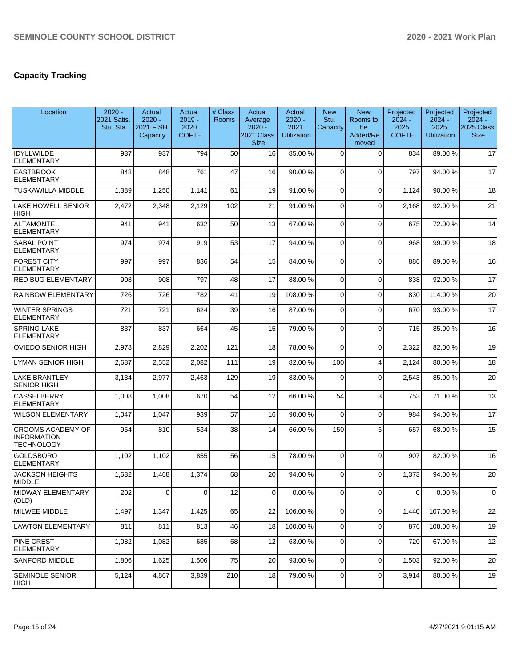## **Capacity Tracking**

| Location                                                            | $2020 -$<br>2021 Satis.<br>Stu. Sta. | Actual<br>$2020 -$<br><b>2021 FISH</b><br>Capacity | Actual<br>$2019 -$<br>2020<br><b>COFTE</b> | # Class<br><b>Rooms</b> | Actual<br>Average<br>$2020 -$<br>2021 Class<br><b>Size</b> | Actual<br>$2020 -$<br>2021<br><b>Utilization</b> | <b>New</b><br>Stu.<br>Capacity | <b>New</b><br>Rooms to<br>be<br>Added/Re<br>moved | Projected<br>$2024 -$<br>2025<br><b>COFTE</b> | Projected<br>$2024 -$<br>2025<br><b>Utilization</b> | Projected<br>$2024 -$<br>2025 Class<br><b>Size</b> |
|---------------------------------------------------------------------|--------------------------------------|----------------------------------------------------|--------------------------------------------|-------------------------|------------------------------------------------------------|--------------------------------------------------|--------------------------------|---------------------------------------------------|-----------------------------------------------|-----------------------------------------------------|----------------------------------------------------|
| <b>IDYLLWILDE</b><br><b>ELEMENTARY</b>                              | 937                                  | 937                                                | 794                                        | 50                      | 16                                                         | 85.00 %                                          | $\Omega$                       | $\Omega$                                          | 834                                           | 89.00 %                                             | 17                                                 |
| <b>EASTBROOK</b><br><b>ELEMENTARY</b>                               | 848                                  | 848                                                | 761                                        | 47                      | 16                                                         | 90.00 %                                          | $\Omega$                       | $\Omega$                                          | 797                                           | 94.00 %                                             | 17                                                 |
| <b>TUSKAWILLA MIDDLE</b>                                            | 1,389                                | 1,250                                              | 1,141                                      | 61                      | 19                                                         | 91.00%                                           | $\mathbf 0$                    | $\Omega$                                          | 1,124                                         | 90.00 %                                             | 18                                                 |
| <b>LAKE HOWELL SENIOR</b><br><b>HIGH</b>                            | 2,472                                | 2,348                                              | 2,129                                      | 102                     | 21                                                         | 91.00%                                           | 0                              | $\mathbf 0$                                       | 2,168                                         | 92.00%                                              | 21                                                 |
| <b>ALTAMONTE</b><br><b>ELEMENTARY</b>                               | 941                                  | 941                                                | 632                                        | 50                      | 13                                                         | 67.00 %                                          | $\Omega$                       | $\mathbf 0$                                       | 675                                           | 72.00 %                                             | 14                                                 |
| <b>SABAL POINT</b><br><b>ELEMENTARY</b>                             | 974                                  | 974                                                | 919                                        | 53                      | 17                                                         | 94.00%                                           | $\Omega$                       | $\Omega$                                          | 968                                           | 99.00 %                                             | 18                                                 |
| <b>FOREST CITY</b><br><b>ELEMENTARY</b>                             | 997                                  | 997                                                | 836                                        | 54                      | 15                                                         | 84.00 %                                          | 0                              | $\mathbf 0$                                       | 886                                           | 89.00 %                                             | 16                                                 |
| <b>RED BUG ELEMENTARY</b>                                           | 908                                  | 908                                                | 797                                        | 48                      | 17                                                         | 88.00 %                                          | $\Omega$                       | $\mathbf 0$                                       | 838                                           | 92.00 %                                             | 17                                                 |
| RAINBOW ELEMENTARY                                                  | 726                                  | 726                                                | 782                                        | 41                      | 19                                                         | 108.00%                                          | $\Omega$                       | $\Omega$                                          | 830                                           | 114.00%                                             | 20                                                 |
| <b>WINTER SPRINGS</b><br><b>ELEMENTARY</b>                          | 721                                  | 721                                                | 624                                        | 39                      | 16                                                         | 87.00 %                                          | $\Omega$                       | $\mathbf 0$                                       | 670                                           | 93.00 %                                             | 17                                                 |
| <b>SPRING LAKE</b><br><b>ELEMENTARY</b>                             | 837                                  | 837                                                | 664                                        | 45                      | 15                                                         | 79.00 %                                          | $\Omega$                       | $\Omega$                                          | 715                                           | 85.00 %                                             | 16                                                 |
| <b>OVIEDO SENIOR HIGH</b>                                           | 2,978                                | 2,829                                              | 2,202                                      | 121                     | 18                                                         | 78.00 %                                          | $\Omega$                       | $\mathbf 0$                                       | 2,322                                         | 82.00 %                                             | 19                                                 |
| <b>LYMAN SENIOR HIGH</b>                                            | 2,687                                | 2,552                                              | 2,082                                      | 111                     | 19                                                         | 82.00 %                                          | 100                            | $\overline{4}$                                    | 2,124                                         | 80.00 %                                             | 18                                                 |
| <b>LAKE BRANTLEY</b><br><b>SENIOR HIGH</b>                          | 3,134                                | 2,977                                              | 2,463                                      | 129                     | 19                                                         | 83.00 %                                          | 0                              | $\Omega$                                          | 2,543                                         | 85.00 %                                             | 20                                                 |
| <b>CASSELBERRY</b><br><b>ELEMENTARY</b>                             | 1,008                                | 1,008                                              | 670                                        | 54                      | 12                                                         | 66.00 %                                          | 54                             | 3                                                 | 753                                           | 71.00 %                                             | 13                                                 |
| <b>WILSON ELEMENTARY</b>                                            | 1,047                                | 1,047                                              | 939                                        | 57                      | 16                                                         | 90.00 %                                          | $\Omega$                       | $\Omega$                                          | 984                                           | 94.00 %                                             | 17                                                 |
| <b>CROOMS ACADEMY OF</b><br><b>INFORMATION</b><br><b>TECHNOLOGY</b> | 954                                  | 810                                                | 534                                        | 38                      | 14                                                         | 66.00 %                                          | 150                            | 6                                                 | 657                                           | 68.00 %                                             | 15                                                 |
| <b>GOLDSBORO</b><br><b>ELEMENTARY</b>                               | 1,102                                | 1,102                                              | 855                                        | 56                      | 15                                                         | 78.00 %                                          | $\mathbf 0$                    | $\Omega$                                          | 907                                           | 82.00 %                                             | 16                                                 |
| <b>JACKSON HEIGHTS</b><br>MIDDLE                                    | 1,632                                | 1,468                                              | 1,374                                      | 68                      | 20                                                         | 94.00 %                                          | $\Omega$                       | $\Omega$                                          | 1,373                                         | 94.00 %                                             | 20                                                 |
| MIDWAY ELEMENTARY<br>(OLD)                                          | 202                                  | 0                                                  | 0                                          | 12                      | 0                                                          | 0.00%                                            | 0                              | $\Omega$                                          | 0                                             | 0.00%                                               | $\mathbf 0$                                        |
| MILWEE MIDDLE                                                       | 1,497                                | 1,347                                              | 1,425                                      | 65                      | 22                                                         | 106.00%                                          | $\overline{0}$                 | $\mathbf 0$                                       | 1,440                                         | 107.00%                                             | 22                                                 |
| LAWTON ELEMENTARY                                                   | 811                                  | 811                                                | 813                                        | 46                      | 18                                                         | 100.00%                                          | 0                              | $\mathbf 0$                                       | 876                                           | 108.00%                                             | 19                                                 |
| <b>PINE CREST</b><br>ELEMENTARY                                     | 1,082                                | 1,082                                              | 685                                        | 58                      | 12                                                         | 63.00 %                                          | 0                              | $\mathbf 0$                                       | 720                                           | 67.00 %                                             | 12                                                 |
| <b>SANFORD MIDDLE</b>                                               | 1,806                                | 1,625                                              | 1,506                                      | 75                      | 20                                                         | 93.00 %                                          | $\mathbf 0$                    | $\overline{0}$                                    | 1,503                                         | 92.00 %                                             | 20                                                 |
| <b>SEMINOLE SENIOR</b><br> HIGH                                     | 5,124                                | 4,867                                              | 3,839                                      | 210                     | 18                                                         | 79.00 %                                          | 0                              | $\mathbf 0$                                       | 3,914                                         | 80.00%                                              | 19                                                 |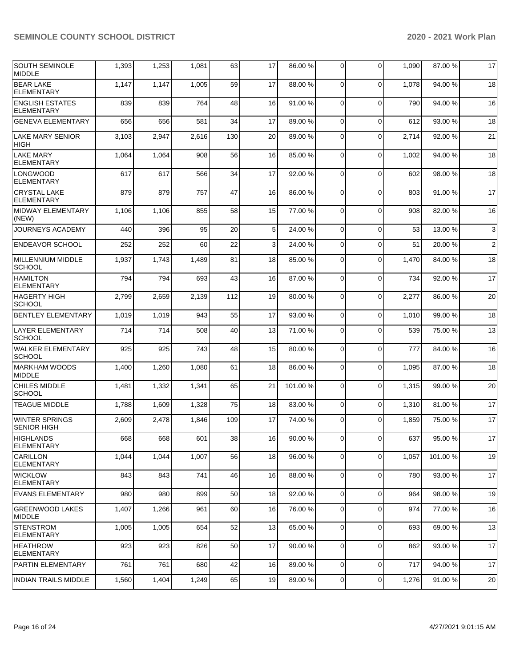| <b>SOUTH SEMINOLE</b><br>MIDDLE             | 1,393 | 1,253 | 1,081 | 63  | 17             | 86.00 % | $\Omega$       | $\mathbf 0$    | 1,090 | 87.00 % | 17             |
|---------------------------------------------|-------|-------|-------|-----|----------------|---------|----------------|----------------|-------|---------|----------------|
| <b>BEAR LAKE</b><br><b>ELEMENTARY</b>       | 1,147 | 1,147 | 1,005 | 59  | 17             | 88.00 % | $\Omega$       | $\Omega$       | 1,078 | 94.00 % | 18             |
| <b>ENGLISH ESTATES</b><br><b>ELEMENTARY</b> | 839   | 839   | 764   | 48  | 16             | 91.00%  | 0              | $\mathbf 0$    | 790   | 94.00 % | 16             |
| <b>GENEVA ELEMENTARY</b>                    | 656   | 656   | 581   | 34  | 17             | 89.00 % | $\Omega$       | $\mathbf 0$    | 612   | 93.00 % | 18             |
| <b>LAKE MARY SENIOR</b><br><b>HIGH</b>      | 3,103 | 2,947 | 2,616 | 130 | 20             | 89.00 % | $\Omega$       | $\mathbf 0$    | 2,714 | 92.00 % | 21             |
| LAKE MARY<br><b>ELEMENTARY</b>              | 1,064 | 1,064 | 908   | 56  | 16             | 85.00 % | $\mathbf 0$    | $\mathbf 0$    | 1,002 | 94.00 % | 18             |
| <b>LONGWOOD</b><br><b>ELEMENTARY</b>        | 617   | 617   | 566   | 34  | 17             | 92.00 % | 0              | $\mathbf 0$    | 602   | 98.00 % | 18             |
| <b>CRYSTAL LAKE</b><br><b>ELEMENTARY</b>    | 879   | 879   | 757   | 47  | 16             | 86.00 % | $\Omega$       | $\mathbf 0$    | 803   | 91.00 % | 17             |
| MIDWAY ELEMENTARY<br>(NEW)                  | 1,106 | 1,106 | 855   | 58  | 15             | 77.00 % | $\mathbf 0$    | $\mathbf 0$    | 908   | 82.00 % | 16             |
| JOURNEYS ACADEMY                            | 440   | 396   | 95    | 20  | 5 <sup>1</sup> | 24.00 % | 0              | $\mathbf 0$    | 53    | 13.00 % | $\mathbf{3}$   |
| <b>ENDEAVOR SCHOOL</b>                      | 252   | 252   | 60    | 22  | $\mathbf{3}$   | 24.00 % | 0              | $\mathbf 0$    | 51    | 20.00 % | $\overline{2}$ |
| MILLENNIUM MIDDLE<br><b>SCHOOL</b>          | 1,937 | 1,743 | 1,489 | 81  | 18             | 85.00 % | $\mathbf 0$    | $\mathbf 0$    | 1,470 | 84.00 % | 18             |
| <b>HAMILTON</b><br><b>ELEMENTARY</b>        | 794   | 794   | 693   | 43  | 16             | 87.00 % | $\Omega$       | $\mathbf 0$    | 734   | 92.00 % | 17             |
| <b>HAGERTY HIGH</b><br><b>SCHOOL</b>        | 2,799 | 2,659 | 2,139 | 112 | 19             | 80.00%  | $\mathbf 0$    | $\mathbf 0$    | 2,277 | 86.00 % | 20             |
| <b>BENTLEY ELEMENTARY</b>                   | 1,019 | 1,019 | 943   | 55  | 17             | 93.00 % | 0              | $\mathbf 0$    | 1,010 | 99.00 % | 18             |
| <b>LAYER ELEMENTARY</b><br><b>SCHOOL</b>    | 714   | 714   | 508   | 40  | 13             | 71.00 % | 0              | $\mathbf 0$    | 539   | 75.00 % | 13             |
| <b>WALKER ELEMENTARY</b><br><b>SCHOOL</b>   | 925   | 925   | 743   | 48  | 15             | 80.00 % | $\Omega$       | $\mathbf 0$    | 777   | 84.00 % | 16             |
| <b>IMARKHAM WOODS</b><br><b>MIDDLE</b>      | 1,400 | 1,260 | 1,080 | 61  | 18             | 86.00 % | $\Omega$       | $\Omega$       | 1,095 | 87.00 % | 18             |
| <b>CHILES MIDDLE</b><br><b>SCHOOL</b>       | 1,481 | 1,332 | 1,341 | 65  | 21             | 101.00% | 0              | $\mathbf 0$    | 1,315 | 99.00 % | 20             |
| <b>TEAGUE MIDDLE</b>                        | 1,788 | 1,609 | 1,328 | 75  | 18             | 83.00 % | $\Omega$       | $\mathbf 0$    | 1,310 | 81.00%  | 17             |
| <b>WINTER SPRINGS</b><br><b>SENIOR HIGH</b> | 2,609 | 2,478 | 1,846 | 109 | 17             | 74.00 % | $\Omega$       | $\Omega$       | 1,859 | 75.00 % | 17             |
| <b>HIGHLANDS</b><br><b>ELEMENTARY</b>       | 668   | 668   | 601   | 38  | 16             | 90.00 % | $\overline{0}$ | $\overline{0}$ | 637   | 95.00 % | $17\,$         |
| CARILLON<br>ELEMENTARY                      | 1,044 | 1,044 | 1,007 | 56  | 18             | 96.00 % | $\mathbf 0$    | $\mathbf 0$    | 1,057 | 101.00% | 19             |
| <b>WICKLOW</b><br>ELEMENTARY                | 843   | 843   | 741   | 46  | 16             | 88.00 % | $\mathbf 0$    | $\mathbf 0$    | 780   | 93.00%  | 17             |
| EVANS ELEMENTARY                            | 980   | 980   | 899   | 50  | 18             | 92.00 % | $\mathbf 0$    | $\mathbf 0$    | 964   | 98.00 % | 19             |
| GREENWOOD LAKES<br>MIDDLE                   | 1,407 | 1,266 | 961   | 60  | 16             | 76.00 % | $\mathbf 0$    | $\mathbf 0$    | 974   | 77.00 % | 16             |
| STENSTROM<br><b>ELEMENTARY</b>              | 1,005 | 1,005 | 654   | 52  | 13             | 65.00 % | $\mathbf 0$    | $\mathbf 0$    | 693   | 69.00 % | 13             |
| <b>HEATHROW</b><br>ELEMENTARY               | 923   | 923   | 826   | 50  | 17             | 90.00%  | $\mathbf 0$    | $\mathbf 0$    | 862   | 93.00 % | 17             |
| PARTIN ELEMENTARY                           | 761   | 761   | 680   | 42  | 16             | 89.00 % | $\mathbf 0$    | $\mathbf 0$    | 717   | 94.00 % | 17             |
| INDIAN TRAILS MIDDLE                        | 1,560 | 1,404 | 1,249 | 65  | 19             | 89.00 % | $\overline{0}$ | 0              | 1,276 | 91.00 % | 20             |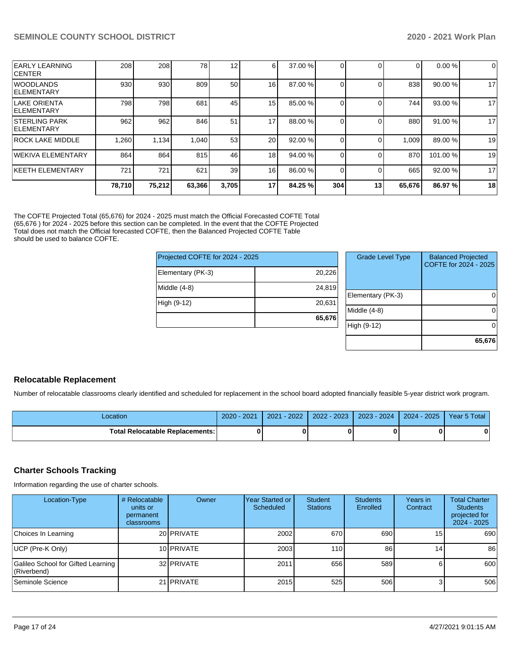| <b>EARLY LEARNING</b><br><b>ICENTER</b>     | 208    | 208    | 78     | 12              | $6 \mid$        | 37.00 % |     |    | 0      | 0.00%    | 0  |
|---------------------------------------------|--------|--------|--------|-----------------|-----------------|---------|-----|----|--------|----------|----|
| WOODLANDS<br><b>IELEMENTARY</b>             | 930    | 930    | 809    | 50              | 16 <sup>1</sup> | 87.00 % |     |    | 838    | 90.00%   | 17 |
| llake Orienta<br><b>IELEMENTARY</b>         | 798    | 798    | 681    | 45              | 15 <sup>1</sup> | 85.00 % |     |    | 744 l  | 93.00 %  | 17 |
| <b>ISTERLING PARK</b><br><b>IELEMENTARY</b> | 962    | 962    | 846    | 51              | 17 <sub>l</sub> | 88.00 % |     |    | 880    | 91.00 %  | 17 |
| <b>ROCK LAKE MIDDLE</b>                     | 1.260  | 1.134  | 1,040  | 53              | <b>20</b>       | 92.00 % |     |    | 1.009  | 89.00 %  | 19 |
| lWEKIVA ELEMENTARY                          | 864    | 864    | 815    | 46              | 18 <sup>1</sup> | 94.00 % |     |    | 870    | 101.00 % | 19 |
| <b>KEETH ELEMENTARY</b>                     | 721    | 721    | 621    | 39 <sup>°</sup> | 16              | 86.00 % |     |    | 665    | 92.00 %  | 17 |
|                                             | 78,710 | 75,212 | 63,366 | 3,705           | 17              | 84.25 % | 304 | 13 | 65,676 | 86.97 %  | 18 |

The COFTE Projected Total (65,676) for 2024 - 2025 must match the Official Forecasted COFTE Total (65,676 ) for 2024 - 2025 before this section can be completed. In the event that the COFTE Projected Total does not match the Official forecasted COFTE, then the Balanced Projected COFTE Table should be used to balance COFTE.

| Projected COFTE for 2024 - 2025 |        |  |  |  |  |  |  |
|---------------------------------|--------|--|--|--|--|--|--|
| Elementary (PK-3)               | 20,226 |  |  |  |  |  |  |
| Middle (4-8)                    | 24,819 |  |  |  |  |  |  |
| High (9-12)                     | 20,631 |  |  |  |  |  |  |
|                                 | 65,676 |  |  |  |  |  |  |

| <b>Grade Level Type</b> | <b>Balanced Projected</b><br>COFTE for 2024 - 2025 |
|-------------------------|----------------------------------------------------|
| Elementary (PK-3)       |                                                    |
| Middle $(4-8)$          |                                                    |
| High (9-12)             |                                                    |
|                         | 65,676                                             |

### **Relocatable Replacement**

Number of relocatable classrooms clearly identified and scheduled for replacement in the school board adopted financially feasible 5-year district work program.

| _ocation                          | 2021<br>$2020 -$ | $-2022$<br>2021 | $1 - 2023$<br>2022 | $2023 - 2024$ | $2024 - 2025$ | Year 5 Total |
|-----------------------------------|------------------|-----------------|--------------------|---------------|---------------|--------------|
| Total Relocatable Replacements: I |                  |                 |                    |               |               | 0            |

### **Charter Schools Tracking**

Information regarding the use of charter schools.

| Location-Type                                     | # Relocatable<br>units or<br>permanent<br>classrooms | Owner             | Year Started or<br>Scheduled | <b>Student</b><br><b>Stations</b> | <b>Students</b><br>Enrolled | Years in<br>Contract | <b>Total Charter</b><br><b>Students</b><br>projected for<br>2024 - 2025 |
|---------------------------------------------------|------------------------------------------------------|-------------------|------------------------------|-----------------------------------|-----------------------------|----------------------|-------------------------------------------------------------------------|
| Choices In Learning                               |                                                      | 20 <b>PRIVATE</b> | 2002                         | 670                               | 690                         | 15 I                 | 690                                                                     |
| UCP (Pre-K Only)                                  |                                                      | 10 PRIVATE        | 2003                         | $1101$                            | 86                          | 14                   | 86                                                                      |
| Galileo School for Gifted Learning<br>(Riverbend) |                                                      | 32 PRIVATE        | 2011                         | 656                               | 589                         |                      | 600                                                                     |
| Seminole Science                                  |                                                      | 21 PRIVATE        | 2015                         | 525                               | 506                         |                      | 506                                                                     |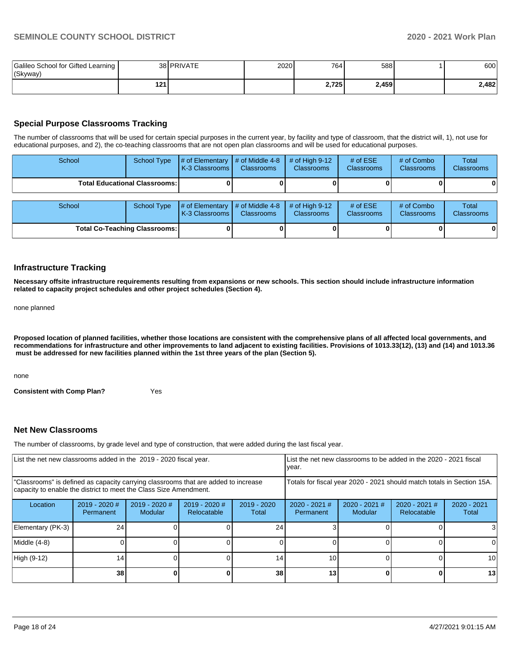| Galileo School for Gifted Learning<br>(Skyway) |     | 38 PRIVATE | 2020 | 764   | 588   | 600   |
|------------------------------------------------|-----|------------|------|-------|-------|-------|
|                                                | 121 |            |      | 2,725 | 2,459 | 2,482 |

### **Special Purpose Classrooms Tracking**

The number of classrooms that will be used for certain special purposes in the current year, by facility and type of classroom, that the district will, 1), not use for educational purposes, and 2), the co-teaching classrooms that are not open plan classrooms and will be used for educational purposes.

| School | <b>School Type</b>                   | # of Elementary<br>K-3 Classrooms | # of Middle 4-8<br><b>Classrooms</b>             | # of High $9-12$<br><b>Classrooms</b> | # of $ESE$<br><b>Classrooms</b> | # of Combo<br><b>Classrooms</b> | Total<br><b>Classrooms</b> |
|--------|--------------------------------------|-----------------------------------|--------------------------------------------------|---------------------------------------|---------------------------------|---------------------------------|----------------------------|
|        | Total Educational Classrooms: I      |                                   |                                                  |                                       |                                 |                                 | 0                          |
|        |                                      |                                   |                                                  |                                       |                                 |                                 |                            |
| School | School Type                          | # of Elementary<br>K-3 Classrooms | $\parallel$ # of Middle 4-8<br><b>Classrooms</b> | $#$ of High 9-12<br><b>Classrooms</b> | # of $ESE$<br>Classrooms        | # of Combo<br><b>Classrooms</b> | Total<br><b>Classrooms</b> |
|        | <b>Total Co-Teaching Classrooms:</b> |                                   |                                                  |                                       |                                 |                                 | 0                          |

### **Infrastructure Tracking**

**Necessary offsite infrastructure requirements resulting from expansions or new schools. This section should include infrastructure information related to capacity project schedules and other project schedules (Section 4).** 

none planned

**Proposed location of planned facilities, whether those locations are consistent with the comprehensive plans of all affected local governments, and recommendations for infrastructure and other improvements to land adjacent to existing facilities. Provisions of 1013.33(12), (13) and (14) and 1013.36 must be addressed for new facilities planned within the 1st three years of the plan (Section 5).** 

none

**Consistent with Comp Plan?** Yes

### **Net New Classrooms**

The number of classrooms, by grade level and type of construction, that were added during the last fiscal year.

| List the net new classrooms added in the 2019 - 2020 fiscal year.                                                                                       | year.           |  | Llist the net new classrooms to be added in the 2020 - 2021 fiscal |    |                              |                          |                                                                        |                        |
|---------------------------------------------------------------------------------------------------------------------------------------------------------|-----------------|--|--------------------------------------------------------------------|----|------------------------------|--------------------------|------------------------------------------------------------------------|------------------------|
| "Classrooms" is defined as capacity carrying classrooms that are added to increase<br>capacity to enable the district to meet the Class Size Amendment. |                 |  |                                                                    |    |                              |                          | Totals for fiscal year 2020 - 2021 should match totals in Section 15A. |                        |
| 2019 - 2020 #<br>2019 - 2020 #<br>2019 - 2020 #<br>$2019 - 2020$<br>Location<br><b>Modular</b><br>Relocatable<br>Permanent<br>Total                     |                 |  |                                                                    |    | $2020 - 2021$ #<br>Permanent | 2020 - 2021 #<br>Modular | 2020 - 2021 #<br>Relocatable                                           | $2020 - 2021$<br>Total |
| Elementary (PK-3)                                                                                                                                       | 24              |  |                                                                    | 24 |                              |                          |                                                                        |                        |
| Middle (4-8)                                                                                                                                            |                 |  |                                                                    |    |                              |                          |                                                                        |                        |
| High (9-12)<br>14 <sub>1</sub><br>14.                                                                                                                   |                 |  |                                                                    |    | 10                           |                          |                                                                        | 10 I                   |
|                                                                                                                                                         | 38 <sup>l</sup> |  |                                                                    | 38 | 13                           |                          |                                                                        | 13                     |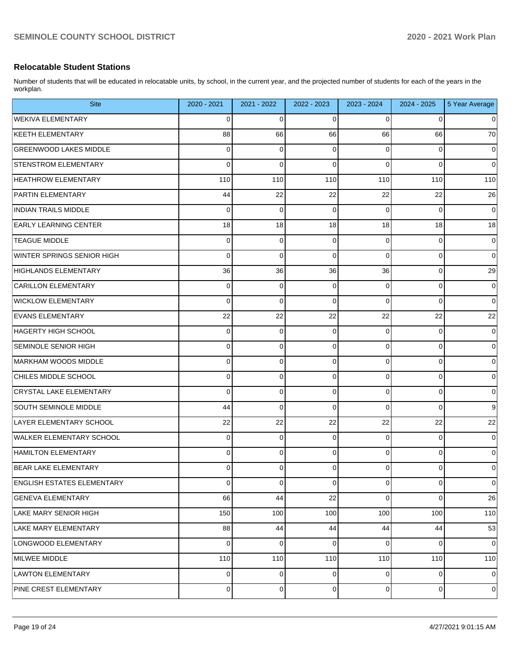### **Relocatable Student Stations**

Number of students that will be educated in relocatable units, by school, in the current year, and the projected number of students for each of the years in the workplan.

| <b>Site</b>                       | 2020 - 2021 | 2021 - 2022 | 2022 - 2023 | 2023 - 2024    | 2024 - 2025 | 5 Year Average |
|-----------------------------------|-------------|-------------|-------------|----------------|-------------|----------------|
| <b>WEKIVA ELEMENTARY</b>          | 0           | 0           | 0           | 0              | 0           | 0              |
| <b>KEETH ELEMENTARY</b>           | 88          | 66          | 66          | 66             | 66          | 70             |
| <b>GREENWOOD LAKES MIDDLE</b>     | 0           | 0           | 0           | 0              | 0           | 0              |
| <b>STENSTROM ELEMENTARY</b>       | 0           | 0           | $\Omega$    | 0              | 0           | $\mathbf 0$    |
| <b>HEATHROW ELEMENTARY</b>        | 110         | 110         | 110         | 110            | 110         | 110            |
| <b>PARTIN ELEMENTARY</b>          | 44          | 22          | 22          | 22             | 22          | 26             |
| <b>INDIAN TRAILS MIDDLE</b>       | 0           | 0           | 0           | 0              | 0           | 0              |
| <b>EARLY LEARNING CENTER</b>      | 18          | 18          | 18          | 18             | 18          | 18             |
| <b>TEAGUE MIDDLE</b>              | 0           | 0           | 0           | 0              | 0           | 0              |
| WINTER SPRINGS SENIOR HIGH        | 0           | 0           | $\Omega$    | 0              | 0           | $\mathbf 0$    |
| HIGHLANDS ELEMENTARY              | 36          | 36          | 36          | 36             | 0           | 29             |
| <b>CARILLON ELEMENTARY</b>        | 0           | 0           | 0           | 0              | 0           | 0              |
| <b>WICKLOW ELEMENTARY</b>         | 0           | 0           | $\Omega$    | 0              | 0           | $\mathbf 0$    |
| <b>EVANS ELEMENTARY</b>           | 22          | 22          | 22          | 22             | 22          | 22             |
| HAGERTY HIGH SCHOOL               | 0           | 0           | 0           | 0              | 0           | 0              |
| SEMINOLE SENIOR HIGH              | 0           | 0           | 0           | 0              | 0           | $\mathbf 0$    |
| MARKHAM WOODS MIDDLE              | 0           | 0           | 0           | 0              | 0           | 0              |
| CHILES MIDDLE SCHOOL              | 0           | 0           | 0           | 0              | 0           | $\mathbf 0$    |
| CRYSTAL LAKE ELEMENTARY           | 0           | 0           | 0           | 0              | 0           | 0              |
| SOUTH SEMINOLE MIDDLE             | 44          | 0           | 0           | 0              | 0           | 9              |
| LAYER ELEMENTARY SCHOOL           | 22          | 22          | 22          | 22             | 22          | 22             |
| WALKER ELEMENTARY SCHOOL          | 0           | 0           | 0           | 0              | 0           | 0              |
| HAMILTON ELEMENTARY               | 0           | 0           | 0           | 0              | 0           | $\mathbf 0$    |
| <b>BEAR LAKE ELEMENTARY</b>       | 0           | 0           | 0           | 0              | 0           | 0              |
| <b>ENGLISH ESTATES ELEMENTARY</b> | 0           | 0           | 0           | 0              | 0           | $\mathbf 0$    |
| <b>GENEVA ELEMENTARY</b>          | 66          | 44          | 22          | 0              | 0           | 26             |
| LAKE MARY SENIOR HIGH             | 150         | 100         | 100         | 100            | 100         | 110            |
| LAKE MARY ELEMENTARY              | 88          | 44          | 44          | 44             | 44          | 53             |
| LONGWOOD ELEMENTARY               | 0           | 0           | 0           | 0              | 0           | $\mathbf 0$    |
| MILWEE MIDDLE                     | 110         | 110         | 110         | 110            | 110         | 110            |
| <b>LAWTON ELEMENTARY</b>          | 0           | 0           | 0           | 0              | 0           | $\mathbf 0$    |
| PINE CREST ELEMENTARY             | $\mathbf 0$ | 0           | 0           | $\overline{0}$ | 0           | 0              |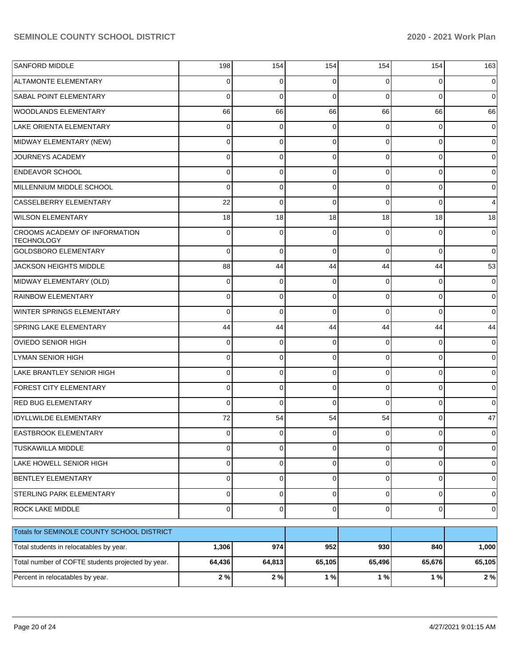| <b>SANFORD MIDDLE</b>                              | 198            | 154         | 154            | 154         | 154            | 163         |
|----------------------------------------------------|----------------|-------------|----------------|-------------|----------------|-------------|
| <b>ALTAMONTE ELEMENTARY</b>                        | 0              | 0           | 0              | 0           | 0              | 0           |
| <b>SABAL POINT ELEMENTARY</b>                      | $\Omega$       | $\Omega$    | $\Omega$       | $\Omega$    | 0              | 0           |
| <b>WOODLANDS ELEMENTARY</b>                        | 66             | 66          | 66             | 66          | 66             | 66          |
| LAKE ORIENTA ELEMENTARY                            | $\mathbf 0$    | 0           | $\mathbf 0$    | $\Omega$    | 0              | 0           |
| MIDWAY ELEMENTARY (NEW)                            | $\mathbf 0$    | 0           | 0              | $\Omega$    | 0              | 0           |
| JOURNEYS ACADEMY                                   | 0              | $\Omega$    | 0              | $\Omega$    | 0              | 0           |
| <b>ENDEAVOR SCHOOL</b>                             | $\mathbf 0$    | 0           | 0              | $\Omega$    | 0              | 0           |
| MILLENNIUM MIDDLE SCHOOL                           | $\Omega$       | 0           | 0              | $\Omega$    | 0              | 0           |
| CASSELBERRY ELEMENTARY                             | 22             | 0           | 0              | $\Omega$    | 0              | 4           |
| <b>WILSON ELEMENTARY</b>                           | 18             | 18          | 18             | 18          | 18             | 18          |
| CROOMS ACADEMY OF INFORMATION<br><b>TECHNOLOGY</b> | $\mathbf 0$    | $\Omega$    | 0              | $\Omega$    | 0              | 0           |
| <b>GOLDSBORO ELEMENTARY</b>                        | $\Omega$       | $\Omega$    | $\Omega$       | $\Omega$    | $\Omega$       | $\mathbf 0$ |
| JACKSON HEIGHTS MIDDLE                             | 88             | 44          | 44             | 44          | 44             | 53          |
| MIDWAY ELEMENTARY (OLD)                            | $\mathbf 0$    | $\Omega$    | $\Omega$       | $\Omega$    | $\Omega$       | 0           |
| <b>RAINBOW ELEMENTARY</b>                          | $\mathbf 0$    | $\Omega$    | $\Omega$       | $\Omega$    | $\Omega$       | 0           |
| WINTER SPRINGS ELEMENTARY                          | $\Omega$       | $\Omega$    | $\Omega$       | $\Omega$    | $\Omega$       | 0           |
| <b>SPRING LAKE ELEMENTARY</b>                      | 44             | 44          | 44             | 44          | 44             | 44          |
| <b>OVIEDO SENIOR HIGH</b>                          | $\mathbf 0$    | 0           | $\Omega$       | $\Omega$    | $\Omega$       | 0           |
| LYMAN SENIOR HIGH                                  | $\Omega$       | $\Omega$    | $\Omega$       | $\Omega$    | $\Omega$       | 0           |
| <b>LAKE BRANTLEY SENIOR HIGH</b>                   | $\Omega$       | $\Omega$    | $\Omega$       | $\Omega$    | $\Omega$       | 0           |
| <b>FOREST CITY ELEMENTARY</b>                      | $\mathbf 0$    | $\Omega$    | $\Omega$       | $\Omega$    | $\Omega$       | 0           |
| <b>RED BUG ELEMENTARY</b>                          | $\Omega$       | $\Omega$    | $\Omega$       | $\Omega$    | $\Omega$       | 0           |
| <b>IDYLLWILDE ELEMENTARY</b>                       | 72             | 54          | 54             | 54          | $\Omega$       | 47          |
| <b>EASTBROOK ELEMENTARY</b>                        | $\mathbf 0$    | 0           | 0              | 0           | 0              | 0           |
| TUSKAWILLA MIDDLE                                  | $\overline{0}$ | 0           | $\overline{0}$ | $\Omega$    | 0              | 0           |
| LAKE HOWELL SENIOR HIGH                            | $\overline{0}$ | $\mathbf 0$ | $\overline{0}$ | $\mathbf 0$ | $\mathbf 0$    | 0           |
| <b>BENTLEY ELEMENTARY</b>                          | $\overline{0}$ | 0           | $\overline{0}$ | $\mathbf 0$ | $\mathbf 0$    | 0           |
| STERLING PARK ELEMENTARY                           | $\overline{0}$ | 0           | $\overline{0}$ | $\mathbf 0$ | $\overline{0}$ | 0           |
| ROCK LAKE MIDDLE                                   | $\overline{0}$ | $\mathbf 0$ | $\overline{0}$ | $\mathbf 0$ | $\mathbf 0$    | 0           |
| Totals for SEMINOLE COUNTY SCHOOL DISTRICT         |                |             |                |             |                |             |
| Total students in relocatables by year.            | 1,306          | 974         | 952            | 930         | 840            | 1,000       |
| Total number of COFTE students projected by year.  | 64,436         | 64,813      | 65,105         | 65,496      | 65,676         | 65,105      |
| Percent in relocatables by year.                   | 2%             | $2\%$       | 1%             | 1%          | $1%$           | 2%          |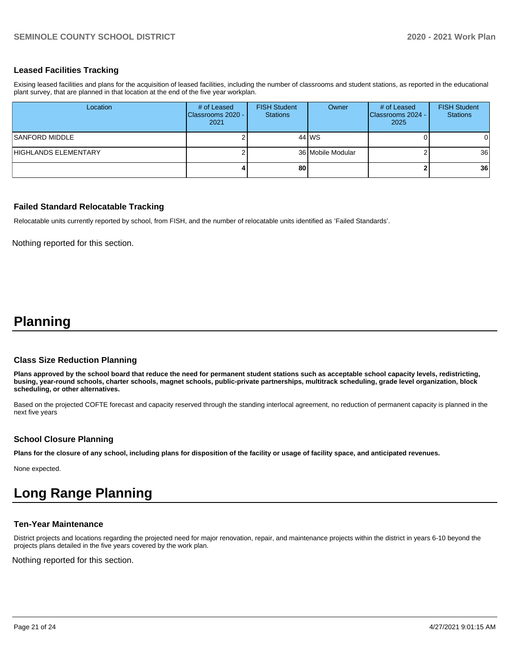### **Leased Facilities Tracking**

Exising leased facilities and plans for the acquisition of leased facilities, including the number of classrooms and student stations, as reported in the educational plant survey, that are planned in that location at the end of the five year workplan.

| Location             | # of Leased<br>Classrooms 2020 -<br>2021 | <b>FISH Student</b><br><b>Stations</b> | Owner             | # of Leased<br>Classrooms 2024 -<br>2025 | <b>FISH Student</b><br><b>Stations</b> |
|----------------------|------------------------------------------|----------------------------------------|-------------------|------------------------------------------|----------------------------------------|
| SANFORD MIDDLE       |                                          |                                        | 44 WS             |                                          | $\Omega$                               |
| HIGHLANDS ELEMENTARY |                                          |                                        | 36 Mobile Modular |                                          | 36                                     |
|                      |                                          | 80                                     |                   |                                          | 36                                     |

### **Failed Standard Relocatable Tracking**

Relocatable units currently reported by school, from FISH, and the number of relocatable units identified as 'Failed Standards'.

Nothing reported for this section.

# **Planning**

#### **Class Size Reduction Planning**

**Plans approved by the school board that reduce the need for permanent student stations such as acceptable school capacity levels, redistricting, busing, year-round schools, charter schools, magnet schools, public-private partnerships, multitrack scheduling, grade level organization, block scheduling, or other alternatives.**

Based on the projected COFTE forecast and capacity reserved through the standing interlocal agreement, no reduction of permanent capacity is planned in the next five years

### **School Closure Planning**

**Plans for the closure of any school, including plans for disposition of the facility or usage of facility space, and anticipated revenues.** 

None expected.

# **Long Range Planning**

### **Ten-Year Maintenance**

District projects and locations regarding the projected need for major renovation, repair, and maintenance projects within the district in years 6-10 beyond the projects plans detailed in the five years covered by the work plan.

Nothing reported for this section.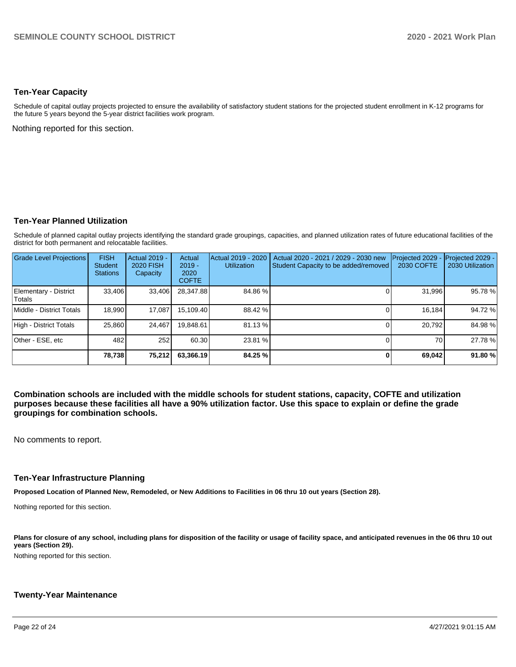### **Ten-Year Capacity**

Schedule of capital outlay projects projected to ensure the availability of satisfactory student stations for the projected student enrollment in K-12 programs for the future 5 years beyond the 5-year district facilities work program.

Nothing reported for this section.

### **Ten-Year Planned Utilization**

Schedule of planned capital outlay projects identifying the standard grade groupings, capacities, and planned utilization rates of future educational facilities of the district for both permanent and relocatable facilities.

| Grade Level Projections         | <b>FISH</b><br><b>Student</b><br><b>Stations</b> | Actual 2019 -<br><b>2020 FISH</b><br>Capacity | Actual<br>$2019 -$<br>2020<br><b>COFTE</b> | Actual 2019 - 2020<br><b>Utilization</b> | Actual 2020 - 2021 / 2029 - 2030 new<br>Student Capacity to be added/removed | Projected 2029<br>2030 COFTE | Projected 2029 -<br>2030 Utilization |
|---------------------------------|--------------------------------------------------|-----------------------------------------------|--------------------------------------------|------------------------------------------|------------------------------------------------------------------------------|------------------------------|--------------------------------------|
| Elementary - District<br>Totals | 33,406                                           | 33,406                                        | 28,347.88                                  | 84.86%                                   |                                                                              | 31,996                       | 95.78%                               |
| Middle - District Totals        | 18.990                                           | 17.087                                        | 15,109.40                                  | 88.42 %                                  |                                                                              | 16.184                       | 94.72%                               |
| High - District Totals          | 25.860                                           | 24.467                                        | 19,848.61                                  | 81.13 %                                  |                                                                              | 20,792                       | 84.98%                               |
| Other - ESE, etc                | 482                                              | 252                                           | 60.30                                      | 23.81 %                                  |                                                                              | 70                           | 27.78%                               |
|                                 | 78.738                                           | 75,212                                        | 63,366.19                                  | 84.25 %                                  |                                                                              | 69,042                       | 91.80%                               |

**Combination schools are included with the middle schools for student stations, capacity, COFTE and utilization purposes because these facilities all have a 90% utilization factor. Use this space to explain or define the grade groupings for combination schools.** 

No comments to report.

### **Ten-Year Infrastructure Planning**

**Proposed Location of Planned New, Remodeled, or New Additions to Facilities in 06 thru 10 out years (Section 28).**

Nothing reported for this section.

Plans for closure of any school, including plans for disposition of the facility or usage of facility space, and anticipated revenues in the 06 thru 10 out **years (Section 29).**

Nothing reported for this section.

### **Twenty-Year Maintenance**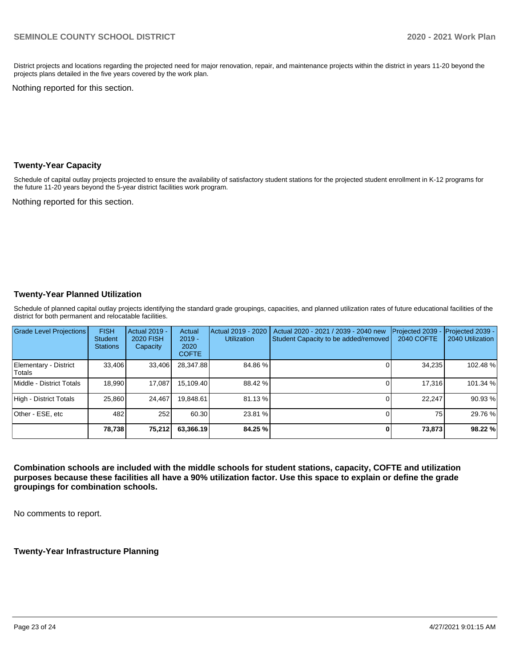District projects and locations regarding the projected need for major renovation, repair, and maintenance projects within the district in years 11-20 beyond the projects plans detailed in the five years covered by the work plan.

Nothing reported for this section.

### **Twenty-Year Capacity**

Schedule of capital outlay projects projected to ensure the availability of satisfactory student stations for the projected student enrollment in K-12 programs for the future 11-20 years beyond the 5-year district facilities work program.

Nothing reported for this section.

### **Twenty-Year Planned Utilization**

Schedule of planned capital outlay projects identifying the standard grade groupings, capacities, and planned utilization rates of future educational facilities of the district for both permanent and relocatable facilities.

| Grade Level Projections         | <b>FISH</b><br><b>Student</b><br><b>Stations</b> | Actual 2019 -<br><b>2020 FISH</b><br>Capacity | Actual<br>$2019 -$<br>2020<br><b>COFTE</b> | Actual 2019 - 2020<br><b>Utilization</b> | Actual 2020 - 2021 / 2039 - 2040 new<br>Student Capacity to be added/removed | Projected 2039<br>2040 COFTE | Projected 2039 -<br>2040 Utilization |
|---------------------------------|--------------------------------------------------|-----------------------------------------------|--------------------------------------------|------------------------------------------|------------------------------------------------------------------------------|------------------------------|--------------------------------------|
| Elementary - District<br>Totals | 33.406                                           | 33,406                                        | 28.347.88                                  | 84.86%                                   |                                                                              | 34,235                       | 102.48%                              |
| Middle - District Totals        | 18.990                                           | 17.087                                        | 15.109.40                                  | 88.42 %                                  |                                                                              | 17.316                       | 101.34 %                             |
| High - District Totals          | 25.860                                           | 24.467                                        | 19.848.61                                  | 81.13 %                                  |                                                                              | 22.247                       | 90.93%                               |
| Other - ESE, etc                | 482                                              | 252                                           | 60.30                                      | 23.81 %                                  |                                                                              | 75                           | 29.76 %                              |
|                                 | 78,738                                           | 75,212                                        | 63,366.19                                  | 84.25 %                                  |                                                                              | 73,873                       | 98.22 %                              |

**Combination schools are included with the middle schools for student stations, capacity, COFTE and utilization purposes because these facilities all have a 90% utilization factor. Use this space to explain or define the grade groupings for combination schools.** 

No comments to report.

**Twenty-Year Infrastructure Planning**